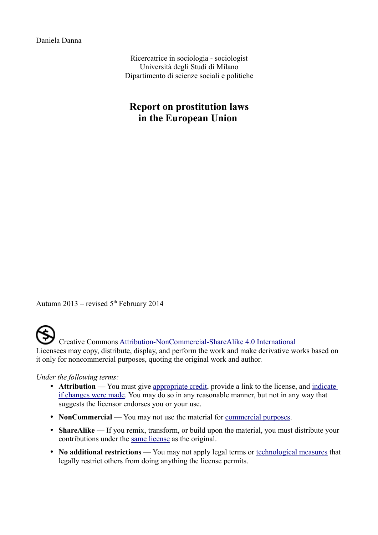Daniela Danna

Ricercatrice in sociologia - sociologist Università degli Studi di Milano Dipartimento di scienze sociali e politiche

## **Report on prostitution laws in the European Union**

Autumn 2013 – revised  $5<sup>th</sup>$  February 2014

 Creative Commons [Attribution-NonCommercial-ShareAlike 4.0 International](http://creativecommons.org/licenses/by-nc-sa/4.0/deed.en_US) Licensees may copy, distribute, display, and perform the work and make derivative works based on it only for noncommercial purposes, quoting the original work and author.

*Under the following terms:*

- **Attribution** You must give [appropriate credit,](http://creativecommons.org/licenses/by-nc-sa/4.0/deed.en_US) provide a link to the license, and [indicate](http://creativecommons.org/licenses/by-nc-sa/4.0/deed.en_US) [if changes were made.](http://creativecommons.org/licenses/by-nc-sa/4.0/deed.en_US) You may do so in any reasonable manner, but not in any way that suggests the licensor endorses you or your use.
- **NonCommercial** You may not use the material for <u>commercial purposes</u>.
- **ShareAlike** If you remix, transform, or build upon the material, you must distribute your contributions under the [same license](http://creativecommons.org/licenses/by-nc-sa/4.0/deed.en_US) as the original.
- **No additional restrictions** You may not apply legal terms or [technological measures](http://creativecommons.org/licenses/by-nc-sa/4.0/deed.en_US) that legally restrict others from doing anything the license permits.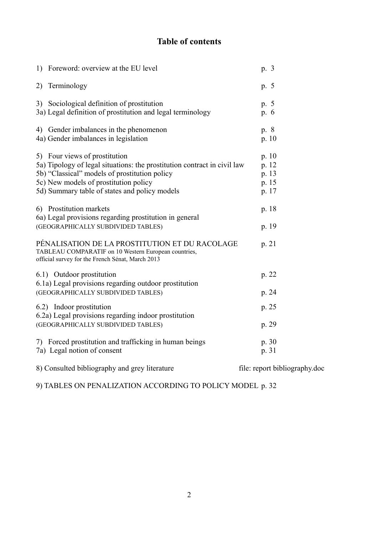## **Table of contents**

| 1) Foreword: overview at the EU level                                                                                                                                                                                                                | p. 3                                      |
|------------------------------------------------------------------------------------------------------------------------------------------------------------------------------------------------------------------------------------------------------|-------------------------------------------|
| 2) Terminology                                                                                                                                                                                                                                       | p. 5                                      |
| 3) Sociological definition of prostitution<br>3a) Legal definition of prostitution and legal terminology                                                                                                                                             | p. 5<br>p. 6                              |
| 4) Gender imbalances in the phenomenon<br>4a) Gender imbalances in legislation                                                                                                                                                                       | p. 8<br>p.10                              |
| 5) Four views of prostitution<br>5a) Tipology of legal situations: the prostitution contract in civil law<br>5b) "Classical" models of prostitution policy<br>5c) New models of prostitution policy<br>5d) Summary table of states and policy models | p. 10<br>p. 12<br>p. 13<br>p. 15<br>p. 17 |
| 6) Prostitution markets<br>6a) Legal provisions regarding prostitution in general<br>(GEOGRAPHICALLY SUBDIVIDED TABLES)                                                                                                                              | p. 18<br>p. 19                            |
| PÉNALISATION DE LA PROSTITUTION ET DU RACOLAGE<br>TABLEAU COMPARATIF on 10 Western European countries,<br>official survey for the French Sénat, March 2013                                                                                           | p. 21                                     |
| 6.1) Outdoor prostitution<br>6.1a) Legal provisions regarding outdoor prostitution<br>(GEOGRAPHICALLY SUBDIVIDED TABLES)                                                                                                                             | p. 22<br>p. 24                            |
| 6.2) Indoor prostitution<br>6.2a) Legal provisions regarding indoor prostitution                                                                                                                                                                     | p. 25                                     |
| (GEOGRAPHICALLY SUBDIVIDED TABLES)                                                                                                                                                                                                                   | p. 29                                     |
| 7) Forced prostitution and trafficking in human beings<br>7a) Legal notion of consent                                                                                                                                                                | p. 30<br>p. 31                            |
| 8) Consulted bibliography and grey literature                                                                                                                                                                                                        | file: report bibliography.doc             |

9) TABLES ON PENALIZATION ACCORDING TO POLICY MODEL p. 32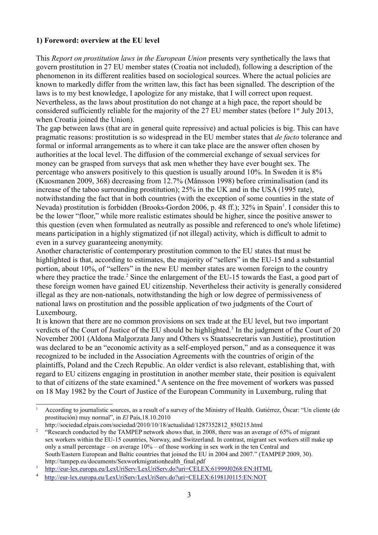#### **1) Foreword: overview at the EU level**

This *Report on prostitution laws in the European Union* presents very synthetically the laws that govern prostitution in 27 EU member states (Croatia not included), following a description of the phenomenon in its different realities based on sociological sources. Where the actual policies are known to markedly differ from the written law, this fact has been signalled. The description of the laws is to my best knowledge, I apologize for any mistake, that I will correct upon request. Nevertheless, as the laws about prostitution do not change at a high pace, the report should be considered sufficiently reliable for the majority of the 27 EU member states (before  $1<sup>st</sup>$  July 2013, when Croatia joined the Union).

The gap between laws (that are in general quite repressive) and actual policies is big. This can have pragmatic reasons: prostitution is so widespread in the EU member states that *de facto* tolerance and formal or informal arrangements as to where it can take place are the answer often chosen by authorities at the local level. The diffusion of the commercial exchange of sexual services for money can be grasped from surveys that ask men whether they have ever bought sex. The percentage who answers positively to this question is usually around 10%. In Sweden it is 8% (Kuosmanen 2009, 368) decreasing from 12.7% (Månsson 1998) before criminalisation (and its increase of the taboo surrounding prostitution); 25% in the UK and in the USA (1995 rate), notwithstanding the fact that in both countries (with the exception of some counties in the state of Nevada) prostitution is forbidden (Brooks-Gordon 2006, p. 48 ff.); 32% in Spain<sup>[1](#page-2-0)</sup>. I consider this to be the lower "floor," while more realistic estimates should be higher, since the positive answer to this question (even when formulated as neutrally as possible and referenced to one's whole lifetime) means participation in a highly stigmatized (if not illegal) activity, which is difficult to admit to even in a survey guaranteeing anonymity.

Another characteristic of contemporary prostitution common to the EU states that must be highlighted is that, according to estimates, the majority of "sellers" in the EU-15 and a substantial portion, about 10%, of "sellers" in the new EU member states are women foreign to the country where they practice the trade.<sup>[2](#page-2-1)</sup> Since the enlargement of the EU-15 towards the East, a good part of these foreign women have gained EU citizenship. Nevertheless their activity is generally considered illegal as they are non-nationals, notwithstanding the high or low degree of permissiveness of national laws on prostitution and the possible application of two judgments of the Court of Luxembourg.

It is known that there are no common provisions on sex trade at the EU level, but two important verdicts of the Court of Justice of the EU should be highlighted.<sup>[3](#page-2-2)</sup> In the judgment of the Court of 20 November 2001 (Aldona Malgorzata Jany and Others vs Staatssecretaris van Justitie), prostitution was declared to be an "economic activity as a self-employed person," and as a consequence it was recognized to be included in the Association Agreements with the countries of origin of the plaintiffs, Poland and the Czech Republic. An older verdict is also relevant, establishing that, with regard to EU citizens engaging in prostitution in another member state, their position is equivalent to that of citizens of the state examined.<sup>[4](#page-2-3)</sup> A sentence on the free movement of workers was passed on 18 May 1982 by the Court of Justice of the European Community in Luxemburg, ruling that

<span id="page-2-0"></span><sup>1</sup> According to journalistic sources, as a result of a survey of the Ministry of Health. Gutiérrez, Óscar: "Un cliente (de prostitución) muy normal", in *El* País,18.10.2010

http://sociedad.elpais.com/sociedad/2010/10/18/actualidad/1287352812\_850215.html

<span id="page-2-1"></span><sup>&</sup>lt;sup>2</sup> "Research conducted by the TAMPEP network shows that, in 2008, there was an average of 65% of migrant sex workers within the EU-15 countries, Norway, and Switzerland. In contrast, migrant sex workers still make up only a small percentage – on average  $10\%$  – of those working in sex work in the ten Central and South/Eastern European and Baltic countries that joined the EU in 2004 and 2007." (TAMPEP 2009, 30). http://tampep.eu/documents/Sexworkmigrationhealth\_final.pdf

<span id="page-2-2"></span><sup>3</sup> <http://eur-lex.europa.eu/LexUriServ/LexUriServ.do?uri=CELEX:61999J0268:EN:HTML>

<span id="page-2-3"></span><sup>4</sup> <http://eur-lex.europa.eu/LexUriServ/LexUriServ.do?uri=CELEX:61981J0115:EN:NOT>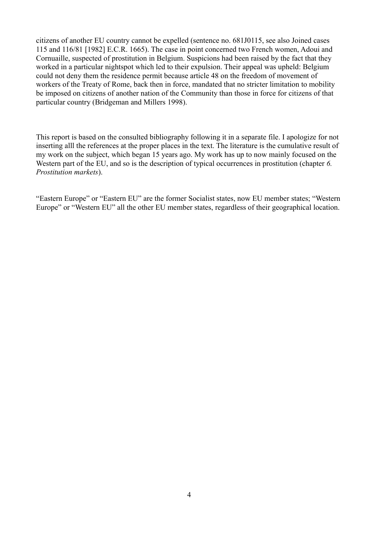citizens of another EU country cannot be expelled (sentence no. 681J0115, see also Joined cases 115 and 116/81 [1982] E.C.R. 1665). The case in point concerned two French women, Adoui and Cornuaille, suspected of prostitution in Belgium. Suspicions had been raised by the fact that they worked in a particular nightspot which led to their expulsion. Their appeal was upheld: Belgium could not deny them the residence permit because article 48 on the freedom of movement of workers of the Treaty of Rome, back then in force, mandated that no stricter limitation to mobility be imposed on citizens of another nation of the Community than those in force for citizens of that particular country (Bridgeman and Millers 1998).

This report is based on the consulted bibliography following it in a separate file. I apologize for not inserting alll the references at the proper places in the text. The literature is the cumulative result of my work on the subject, which began 15 years ago. My work has up to now mainly focused on the Western part of the EU, and so is the description of typical occurrences in prostitution (chapter *6. Prostitution markets*).

"Eastern Europe" or "Eastern EU" are the former Socialist states, now EU member states; "Western Europe" or "Western EU" all the other EU member states, regardless of their geographical location.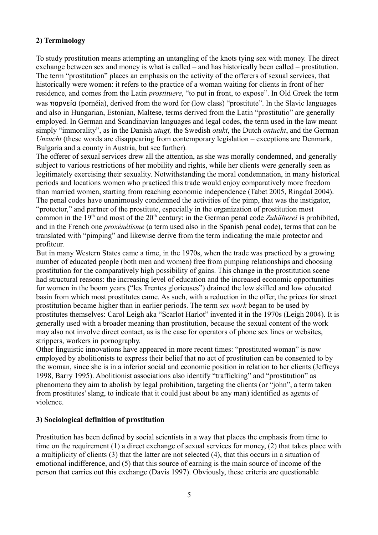### **2) Terminology**

To study prostitution means attempting an untangling of the knots tying sex with money. The direct exchange between sex and money is what is called – and has historically been called – prostitution. The term "prostitution" places an emphasis on the activity of the offerers of sexual services, that historically were women: it refers to the practice of a woman waiting for clients in front of her residence, and comes from the Latin *prostituere*, "to put in front, to expose". In Old Greek the term was πορνεία (pornéia), derived from the word for (low class) "prostitute". In the Slavic languages and also in Hungarian, Estonian, Maltese, terms derived from the Latin "prostitutio" are generally employed. In German and Scandinavian languages and legal codes, the term used in the law meant simply "immorality", as in the Danish *utugt,* the Swedish *otukt*, the Dutch *ontucht*, and the German *Unzucht* (these words are disappearing from contemporary legislation – exceptions are Denmark, Bulgaria and a county in Austria, but see further)*.* 

The offerer of sexual services drew all the attention, as she was morally condemned, and generally subject to various restrictions of her mobility and rights, while her clients were generally seen as legitimately exercising their sexuality. Notwithstanding the moral condemnation, in many historical periods and locations women who practiced this trade would enjoy comparatively more freedom than married women, starting from reaching economic independence (Tabet 2005, Ringdal 2004). The penal codes have unanimously condemned the activities of the pimp, that was the instigator, "protector," and partner of the prostitute, especially in the organization of prostitution most common in the 19<sup>th</sup> and most of the 20<sup>th</sup> century: in the German penal code *Zuhälterei* is prohibited, and in the French one *proxénétisme* (a term used also in the Spanish penal code), terms that can be translated with "pimping" and likewise derive from the term indicating the male protector and profiteur.

But in many Western States came a time, in the 1970s, when the trade was practiced by a growing number of educated people (both men and women) free from pimping relationships and choosing prostitution for the comparatively high possibility of gains. This change in the prostitution scene had structural reasons: the increasing level of education and the increased economic opportunities for women in the boom years ("les Trentes glorieuses") drained the low skilled and low educated basin from which most prostitutes came. As such, with a reduction in the offer, the prices for street prostitution became higher than in earlier periods. The term *sex work* began to be used by prostitutes themselves: Carol Leigh aka "Scarlot Harlot" invented it in the 1970s (Leigh 2004). It is generally used with a broader meaning than prostitution, because the sexual content of the work may also not involve direct contact, as is the case for operators of phone sex lines or websites, strippers, workers in pornography.

Other linguistic innovations have appeared in more recent times: "prostituted woman" is now employed by abolitionists to express their belief that no act of prostitution can be consented to by the woman, since she is in a inferior social and economic position in relation to her clients (Jeffreys 1998, Barry 1995). Abolitionist associations also identify "trafficking" and "prostitution" as phenomena they aim to abolish by legal prohibition, targeting the clients (or "john", a term taken from prostitutes' slang, to indicate that it could just about be any man) identified as agents of violence.

#### **3) Sociological definition of prostitution**

Prostitution has been defined by social scientists in a way that places the emphasis from time to time on the requirement (1) a direct exchange of sexual services for money, (2) that takes place with a multiplicity of clients (3) that the latter are not selected (4), that this occurs in a situation of emotional indifference, and (5) that this source of earning is the main source of income of the person that carries out this exchange (Davis 1997). Obviously, these criteria are questionable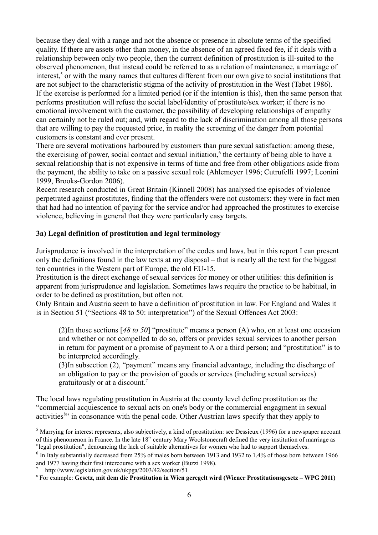because they deal with a range and not the absence or presence in absolute terms of the specified quality. If there are assets other than money, in the absence of an agreed fixed fee, if it deals with a relationship between only two people, then the current definition of prostitution is ill-suited to the observed phenomenon, that instead could be referred to as a relation of maintenance, a marriage of interest,<sup>[5](#page-5-0)</sup> or with the many names that cultures different from our own give to social institutions that are not subject to the characteristic stigma of the activity of prostitution in the West (Tabet 1986). If the exercise is performed for a limited period (or if the intention is this), then the same person that performs prostitution will refuse the social label/identity of prostitute/sex worker; if there is no emotional involvement with the customer, the possibility of developing relationships of empathy can certainly not be ruled out; and, with regard to the lack of discrimination among all those persons that are willing to pay the requested price, in reality the screening of the danger from potential customers is constant and ever present.

There are several motivations harboured by customers than pure sexual satisfaction: among these, the exercising of power, social contact and sexual initiation,<sup>[6](#page-5-1)</sup> the certainty of being able to have a sexual relationship that is not expensive in terms of time and free from other obligations aside from the payment, the ability to take on a passive sexual role (Ahlemeyer 1996; Cutrufelli 1997; Leonini 1999, Brooks-Gordon 2006).

Recent research conducted in Great Britain (Kinnell 2008) has analysed the episodes of violence perpetrated against prostitutes, finding that the offenders were not customers: they were in fact men that had had no intention of paying for the service and/or had approached the prostitutes to exercise violence, believing in general that they were particularly easy targets.

#### **3a) Legal definition of prostitution and legal terminology**

Jurisprudence is involved in the interpretation of the codes and laws, but in this report I can present only the definitions found in the law texts at my disposal – that is nearly all the text for the biggest ten countries in the Western part of Europe, the old EU-15.

Prostitution is the direct exchange of sexual services for money or other utilities: this definition is apparent from jurisprudence and legislation. Sometimes laws require the practice to be habitual, in order to be defined as prostitution, but often not.

Only Britain and Austria seem to have a definition of prostitution in law. For England and Wales it is in Section 51 ("Sections 48 to 50: interpretation") of the Sexual Offences Act 2003:

(2)In those sections [*48 to 50*] "prostitute" means a person (A) who, on at least one occasion and whether or not compelled to do so, offers or provides sexual services to another person in return for payment or a promise of payment to A or a third person; and "prostitution" is to be interpreted accordingly.

(3)In subsection (2), "payment" means any financial advantage, including the discharge of an obligation to pay or the provision of goods or services (including sexual services) gratuitously or at a discount.[7](#page-5-2)

The local laws regulating prostitution in Austria at the county level define prostitution as the "commercial acquiescence to sexual acts on one's body or the commercial engagment in sexual activities<sup>[8](#page-5-3)</sup>" in consonance with the penal code. Other Austrian laws specify that they apply to

<span id="page-5-2"></span>7 http://www.legislation.gov.uk/ukpga/2003/42/section/51

<span id="page-5-0"></span> $<sup>5</sup>$  Marrying for interest represents, also subjectively, a kind of prostitution: see Dessieux (1996) for a newspaper account</sup> of this phenomenon in France. In the late 18<sup>th</sup> century Mary Woolstonecraft defined the very institution of marriage as "legal prostitution", denouncing the lack of suitable alternatives for women who had to support themselves.

<span id="page-5-1"></span> $<sup>6</sup>$  In Italy substantially decreased from 25% of males born between 1913 and 1932 to 1.4% of those born between 1966</sup> and 1977 having their first intercourse with a sex worker (Buzzi 1998).

<span id="page-5-3"></span><sup>8</sup> For example: **Gesetz, mit dem die Prostitution in Wien geregelt wird (Wiener Prostitutionsgesetz – WPG 2011)**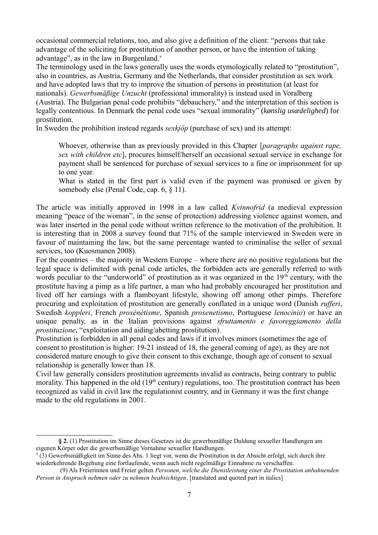occasional commercial relations, too, and also give a definition of the client: "persons that take advantage of the soliciting for prostitution of another person, or have the intention of taking advantage", as in the law in Burgenland.<sup>[9](#page-6-0)</sup>

The terminology used in the laws generally uses the words etymologically related to "prostitution", also in countries, as Austria, Germany and the Netherlands, that consider prostitution as sex work and have adopted laws that try to improve the situation of persons in prostitution (at least for nationals). *Gewerbsmäßige Unzucht* (professional immorality) is instead used in Voralberg (Austria). The Bulgarian penal code prohibits "debauchery," and the interpretation of this section is legally contentious. In Denmark the penal code uses "sexual immorality" (*kønslig usædelighed*) for prostitution.

In Sweden the prohibition instead regards *sexkjöp* (purchase of sex) and its attempt:

Whoever, otherwise than as previously provided in this Chapter [*paragraphs against rape, sex with children etc*], procures himself/herself an occasional sexual service in exchange for payment shall be sentenced for purchase of sexual services to a fine or imprisonment for up to one year.

What is stated in the first part is valid even if the payment was promised or given by somebody else (Penal Code, cap. 6, § 11).

The article was initially approved in 1998 in a law called *Kvinnofrid* (a medieval expression meaning "peace of the woman", in the sense of protection) addressing violence against women, and was later inserted in the penal code without written reference to the motivation of the prohibition. It is interesting that in 2008 a survey found that 71% of the sample interviewed in Sweden were in favour of maintaining the law, but the same percentage wanted to criminalise the seller of sexual services, too (Kuosmanen 2008).

For the countries – the majority in Western Europe – where there are no positive regulations but the legal space is delimited with penal code articles, the forbidden acts are generally referred to with words peculiar to the "underworld" of prostitution as it was organized in the  $19<sup>th</sup>$  century, with the prostitute having a pimp as a life partner, a man who had probably encouraged her prostitution and lived off her earnings with a flamboyant lifestyle, showing off among other pimps. Therefore procuring and exploitation of prostitution are generally conflated in a unique word (Danish *rufferi*, Swedish *koppleri*, French *proxénétisme*, Spanish *proxenetismo*, Portuguese *lenocinio*) or have an unique penalty, as in the Italian provisions against *sfruttamento e favoreggiamento della prostituzione*, "exploitation and aiding/abetting prostitution).

Prostitution is forbidden in all penal codes and laws if it involves minors (sometimes the age of consent to prostitution is higher: 19-21 instead of 18, the general coming of age), as they are not considered mature enough to give their consent to this exchange, though age of consent to sexual relationship is generally lower than 18.

Civil law generally considers prostitution agreements invalid as contracts, being contrary to public morality. This happened in the old  $(19<sup>th</sup>$  century) regulations, too. The prostitution contract has been recognized as valid in civil law the regulationist country, and in Germany it was the first change made to the old regulations in 2001.

**<sup>§ 2.</sup>** (1) Prostitution im Sinne dieses Gesetzes ist die gewerbsmäßige Duldung sexueller Handlungen am eigenen Körper oder die gewerbsmäßige Vornahme sexueller Handlungen.

<span id="page-6-0"></span><sup>9</sup> (3) Gewerbsmäßigkeit im Sinne des Abs. 1 liegt vor, wenn die Prostitution in der Absicht erfolgt, sich durch ihre wiederkehrende Begehung eine fortlaufende, wenn auch nicht regelmäßige Einnahme zu verschaffen.

 <sup>(9)</sup> Als Freierinnen und Freier gelten *Personen, welche die Dienstleistung einer die Prostitution anbahnenden Person in Anspruch nehmen oder zu nehmen beabsichtigen*. [translated and quoted part in italics]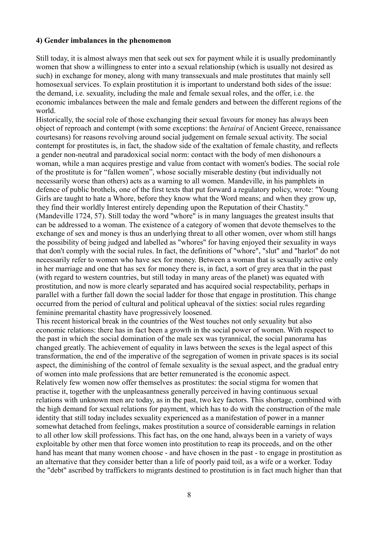#### **4) Gender imbalances in the phenomenon**

Still today, it is almost always men that seek out sex for payment while it is usually predominantly women that show a willingness to enter into a sexual relationship (which is usually not desired as such) in exchange for money, along with many transsexuals and male prostitutes that mainly sell homosexual services. To explain prostitution it is important to understand both sides of the issue: the demand, i.e. sexuality, including the male and female sexual roles, and the offer, i.e. the economic imbalances between the male and female genders and between the different regions of the world.

Historically, the social role of those exchanging their sexual favours for money has always been object of reproach and contempt (with some exceptions: the *hetairai* of Ancient Greece, renaissance courtesans) for reasons revolving around social judgement on female sexual activity. The social contempt for prostitutes is, in fact, the shadow side of the exaltation of female chastity, and reflects a gender non-neutral and paradoxical social norm: contact with the body of men dishonours a woman, while a man acquires prestige and value from contact with women's bodies. The social role of the prostitute is for "fallen women", whose socially miserable destiny (but individually not necessarily worse than others) acts as a warning to all women. Mandeville, in his pamphlets in defence of public brothels, one of the first texts that put forward a regulatory policy, wrote: "Young Girls are taught to hate a Whore, before they know what the Word means; and when they grow up, they find their worldly Interest entirely depending upon the Reputation of their Chastity." (Mandeville 1724, 57). Still today the word "whore" is in many languages the greatest insults that can be addressed to a woman. The existence of a category of women that devote themselves to the exchange of sex and money is thus an underlying threat to all other women, over whom still hangs the possibility of being judged and labelled as "whores" for having enjoyed their sexuality in ways that don't comply with the social rules. In fact, the definitions of "whore", "slut" and "harlot" do not necessarily refer to women who have sex for money. Between a woman that is sexually active only in her marriage and one that has sex for money there is, in fact, a sort of grey area that in the past (with regard to western countries, but still today in many areas of the planet) was equated with prostitution, and now is more clearly separated and has acquired social respectability, perhaps in parallel with a further fall down the social ladder for those that engage in prostitution. This change occurred from the period of cultural and political upheaval of the sixties: social rules regarding feminine premarital chastity have progressively loosened.

This recent historical break in the countries of the West touches not only sexuality but also economic relations: there has in fact been a growth in the social power of women. With respect to the past in which the social domination of the male sex was tyrannical, the social panorama has changed greatly. The achievement of equality in laws between the sexes is the legal aspect of this transformation, the end of the imperative of the segregation of women in private spaces is its social aspect, the diminishing of the control of female sexuality is the sexual aspect, and the gradual entry of women into male professions that are better remunerated is the economic aspect.

Relatively few women now offer themselves as prostitutes: the social stigma for women that practise it, together with the unpleasantness generally perceived in having continuous sexual relations with unknown men are today, as in the past, two key factors. This shortage, combined with the high demand for sexual relations for payment, which has to do with the construction of the male identity that still today includes sexuality experienced as a manifestation of power in a manner somewhat detached from feelings, makes prostitution a source of considerable earnings in relation to all other low skill professions. This fact has, on the one hand, always been in a variety of ways exploitable by other men that force women into prostitution to reap its proceeds, and on the other hand has meant that many women choose - and have chosen in the past - to engage in prostitution as an alternative that they consider better than a life of poorly paid toil, as a wife or a worker. Today the "debt" ascribed by traffickers to migrants destined to prostitution is in fact much higher than that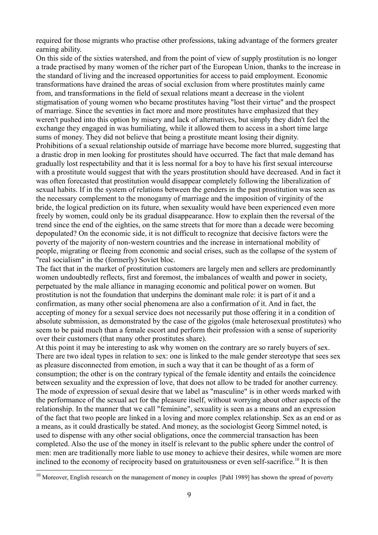required for those migrants who practise other professions, taking advantage of the formers greater earning ability.

On this side of the sixties watershed, and from the point of view of supply prostitution is no longer a trade practised by many women of the richer part of the European Union, thanks to the increase in the standard of living and the increased opportunities for access to paid employment. Economic transformations have drained the areas of social exclusion from where prostitutes mainly came from, and transformations in the field of sexual relations meant a decrease in the violent stigmatisation of young women who became prostitutes having "lost their virtue" and the prospect of marriage. Since the seventies in fact more and more prostitutes have emphasized that they weren't pushed into this option by misery and lack of alternatives, but simply they didn't feel the exchange they engaged in was humiliating, while it allowed them to access in a short time large sums of money. They did not believe that being a prostitute meant losing their dignity. Prohibitions of a sexual relationship outside of marriage have become more blurred, suggesting that a drastic drop in men looking for prostitutes should have occurred. The fact that male demand has gradually lost respectability and that it is less normal for a boy to have his first sexual intercourse with a prostitute would suggest that with the years prostitution should have decreased. And in fact it was often forecasted that prostitution would disappear completely following the liberalization of sexual habits. If in the system of relations between the genders in the past prostitution was seen as the necessary complement to the monogamy of marriage and the imposition of virginity of the bride, the logical prediction on its future, when sexuality would have been experienced even more freely by women, could only be its gradual disappearance. How to explain then the reversal of the trend since the end of the eighties, on the same streets that for more than a decade were becoming depopulated? On the economic side, it is not difficult to recognize that decisive factors were the poverty of the majority of non-western countries and the increase in international mobility of people, migrating or fleeing from economic and social crises, such as the collapse of the system of "real socialism" in the (formerly) Soviet bloc.

The fact that in the market of prostitution customers are largely men and sellers are predominantly women undoubtedly reflects, first and foremost, the imbalances of wealth and power in society, perpetuated by the male alliance in managing economic and political power on women. But prostitution is not the foundation that underpins the dominant male role: it is part of it and a confirmation, as many other social phenomena are also a confirmation of it. And in fact, the accepting of money for a sexual service does not necessarily put those offering it in a condition of absolute submission, as demonstrated by the case of the gigolos (male heterosexual prostitutes) who seem to be paid much than a female escort and perform their profession with a sense of superiority over their customers (that many other prostitutes share).

At this point it may be interesting to ask why women on the contrary are so rarely buyers of sex. There are two ideal types in relation to sex: one is linked to the male gender stereotype that sees sex as pleasure disconnected from emotion, in such a way that it can be thought of as a form of consumption; the other is on the contrary typical of the female identity and entails the coincidence between sexuality and the expression of love, that does not allow to be traded for another currency. The mode of expression of sexual desire that we label as "masculine" is in other words marked with the performance of the sexual act for the pleasure itself, without worrying about other aspects of the relationship. In the manner that we call "feminine", sexuality is seen as a means and an expression of the fact that two people are linked in a loving and more complex relationship. Sex as an end or as a means, as it could drastically be stated. And money, as the sociologist Georg Simmel noted, is used to dispense with any other social obligations, once the commercial transaction has been completed. Also the use of the money in itself is relevant to the public sphere under the control of men: men are traditionally more liable to use money to achieve their desires, while women are more inclined to the economy of reciprocity based on gratuitousness or even self-sacrifice.<sup>[10](#page-8-0)</sup> It is then

<span id="page-8-0"></span><sup>&</sup>lt;sup>10</sup> Moreover, English research on the management of money in couples [Pahl 1989] has shown the spread of poverty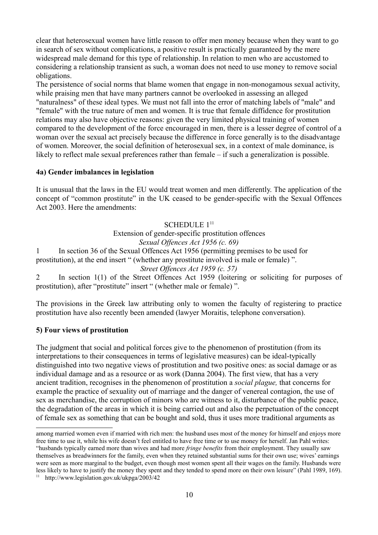clear that heterosexual women have little reason to offer men money because when they want to go in search of sex without complications, a positive result is practically guaranteed by the mere widespread male demand for this type of relationship. In relation to men who are accustomed to considering a relationship transient as such, a woman does not need to use money to remove social obligations.

The persistence of social norms that blame women that engage in non-monogamous sexual activity, while praising men that have many partners cannot be overlooked in assessing an alleged "naturalness" of these ideal types. We must not fall into the error of matching labels of "male" and "female" with the true nature of men and women. It is true that female diffidence for prostitution relations may also have objective reasons: given the very limited physical training of women compared to the development of the force encouraged in men, there is a lesser degree of control of a woman over the sexual act precisely because the difference in force generally is to the disadvantage of women. Moreover, the social definition of heterosexual sex, in a context of male dominance, is likely to reflect male sexual preferences rather than female – if such a generalization is possible.

#### **4a) Gender imbalances in legislation**

It is unusual that the laws in the EU would treat women and men differently. The application of the concept of "common prostitute" in the UK ceased to be gender-specific with the Sexual Offences Act 2003. Here the amendments:

### SCHEDULE 1<sup>[11](#page-9-0)</sup> Extension of gender-specific prostitution offences *Sexual Offences Act 1956 (c. 69)*

1 In section 36 of the Sexual Offences Act 1956 (permitting premises to be used for prostitution), at the end insert " (whether any prostitute involved is male or female) ". *Street Offences Act 1959 (c. 57)*

2 In section 1(1) of the Street Offences Act 1959 (loitering or soliciting for purposes of prostitution), after "prostitute" insert " (whether male or female) ".

The provisions in the Greek law attributing only to women the faculty of registering to practice prostitution have also recently been amended (lawyer Moraitis, telephone conversation).

#### **5) Four views of prostitution**

The judgment that social and political forces give to the phenomenon of prostitution (from its interpretations to their consequences in terms of legislative measures) can be ideal-typically distinguished into two negative views of prostitution and two positive ones: as social damage or as individual damage and as a resource or as work (Danna 2004). The first view, that has a very ancient tradition, recognises in the phenomenon of prostitution a *social plague,* that concerns for example the practice of sexuality out of marriage and the danger of venereal contagion, the use of sex as merchandise, the corruption of minors who are witness to it, disturbance of the public peace, the degradation of the areas in which it is being carried out and also the perpetuation of the concept of female sex as something that can be bought and sold, thus it uses more traditional arguments as

among married women even if married with rich men: the husband uses most of the money for himself and enjoys more free time to use it, while his wife doesn't feel entitled to have free time or to use money for herself. Jan Pahl writes: "husbands typically earned more than wives and had more *fringe benefits* from their employment. They usually saw themselves as breadwinners for the family, even when they retained substantial sums for their own use; wives' earnings were seen as more marginal to the budget, even though most women spent all their wages on the family. Husbands were less likely to have to justify the money they spent and they tended to spend more on their own leisure" (Pahl 1989, 169).

<span id="page-9-0"></span><sup>11</sup> http://www.legislation.gov.uk/ukpga/2003/42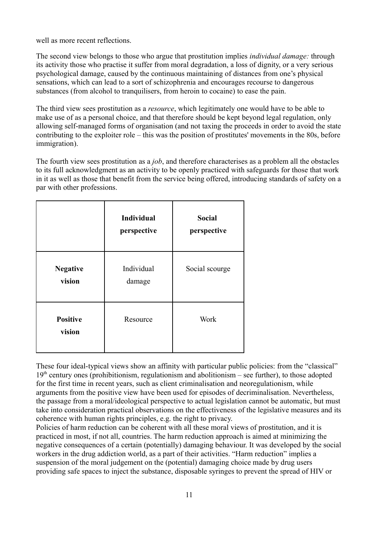well as more recent reflections.

The second view belongs to those who argue that prostitution implies *individual damage:* through its activity those who practise it suffer from moral degradation, a loss of dignity, or a very serious psychological damage, caused by the continuous maintaining of distances from one's physical sensations, which can lead to a sort of schizophrenia and encourages recourse to dangerous substances (from alcohol to tranquilisers, from heroin to cocaine) to ease the pain.

The third view sees prostitution as a *resource*, which legitimately one would have to be able to make use of as a personal choice, and that therefore should be kept beyond legal regulation, only allowing self-managed forms of organisation (and not taxing the proceeds in order to avoid the state contributing to the exploiter role – this was the position of prostitutes' movements in the 80s, before immigration).

The fourth view sees prostitution as a *job*, and therefore characterises as a problem all the obstacles to its full acknowledgment as an activity to be openly practiced with safeguards for those that work in it as well as those that benefit from the service being offered, introducing standards of safety on a par with other professions.

|                           | <b>Individual</b><br>perspective | <b>Social</b><br>perspective |
|---------------------------|----------------------------------|------------------------------|
| <b>Negative</b><br>vision | Individual<br>damage             | Social scourge               |
| <b>Positive</b><br>vision | Resource                         | Work                         |

These four ideal-typical views show an affinity with particular public policies: from the "classical"  $19<sup>th</sup>$  century ones (prohibitionism, regulationism and abolitionism – see further), to those adopted for the first time in recent years, such as client criminalisation and neoregulationism, while arguments from the positive view have been used for episodes of decriminalisation. Nevertheless, the passage from a moral/ideological perspective to actual legislation cannot be automatic, but must take into consideration practical observations on the effectiveness of the legislative measures and its coherence with human rights principles, e.g. the right to privacy.

Policies of harm reduction can be coherent with all these moral views of prostitution, and it is practiced in most, if not all, countries. The harm reduction approach is aimed at minimizing the negative consequences of a certain (potentially) damaging behaviour. It was developed by the social workers in the drug addiction world, as a part of their activities. "Harm reduction" implies a suspension of the moral judgement on the (potential) damaging choice made by drug users providing safe spaces to inject the substance, disposable syringes to prevent the spread of HIV or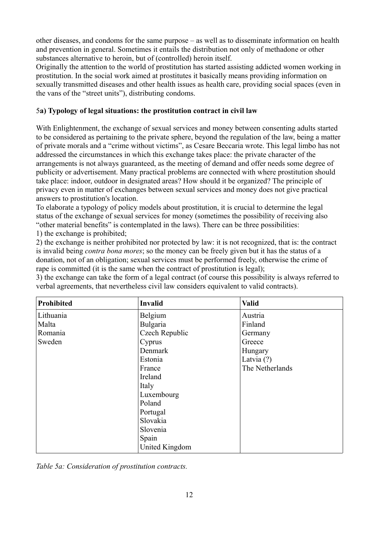other diseases, and condoms for the same purpose – as well as to disseminate information on health and prevention in general. Sometimes it entails the distribution not only of methadone or other substances alternative to heroin, but of (controlled) heroin itself.

Originally the attention to the world of prostitution has started assisting addicted women working in prostitution. In the social work aimed at prostitutes it basically means providing information on sexually transmitted diseases and other health issues as health care, providing social spaces (even in the vans of the "street units"), distributing condoms.

#### 5**a) Typology of legal situations: the prostitution contract in civil law**

With Enlightenment, the exchange of sexual services and money between consenting adults started to be considered as pertaining to the private sphere, beyond the regulation of the law, being a matter of private morals and a "crime without victims", as Cesare Beccaria wrote. This legal limbo has not addressed the circumstances in which this exchange takes place: the private character of the arrangements is not always guaranteed, as the meeting of demand and offer needs some degree of publicity or advertisement. Many practical problems are connected with where prostitution should take place: indoor, outdoor in designated areas? How should it be organized? The principle of privacy even in matter of exchanges between sexual services and money does not give practical answers to prostitution's location.

To elaborate a typology of policy models about prostitution, it is crucial to determine the legal status of the exchange of sexual services for money (sometimes the possibility of receiving also "other material benefits" is contemplated in the laws). There can be three possibilities: 1) the exchange is prohibited;

2) the exchange is neither prohibited nor protected by law: it is not recognized, that is: the contract is invalid being *contra bona mores*; so the money can be freely given but it has the status of a donation, not of an obligation; sexual services must be performed freely, otherwise the crime of rape is committed (it is the same when the contract of prostitution is legal);

3) the exchange can take the form of a legal contract (of course this possibility is always referred to verbal agreements, that nevertheless civil law considers equivalent to valid contracts).

| Prohibited | <b>Invalid</b> | <b>Valid</b>    |
|------------|----------------|-----------------|
| Lithuania  | Belgium        | Austria         |
| Malta      | Bulgaria       | Finland         |
| Romania    | Czech Republic | Germany         |
| Sweden     | Cyprus         | Greece          |
|            | Denmark        | Hungary         |
|            | Estonia        | Latvia (?)      |
|            | France         | The Netherlands |
|            | Ireland        |                 |
|            | Italy          |                 |
|            | Luxembourg     |                 |
|            | Poland         |                 |
|            | Portugal       |                 |
|            | Slovakia       |                 |
|            | Slovenia       |                 |
|            | Spain          |                 |
|            | United Kingdom |                 |

*Table 5a: Consideration of prostitution contracts.*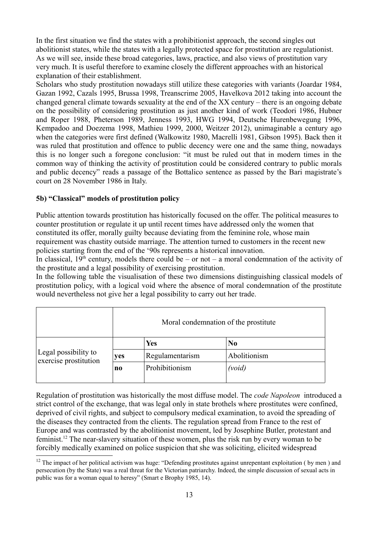In the first situation we find the states with a prohibitionist approach, the second singles out abolitionist states, while the states with a legally protected space for prostitution are regulationist. As we will see, inside these broad categories, laws, practice, and also views of prostitution vary very much. It is useful therefore to examine closely the different approaches with an historical explanation of their establishment.

Scholars who study prostitution nowadays still utilize these categories with variants (Joardar 1984, Gazan 1992, Cazals 1995, Brussa 1998, Treanscrime 2005, Havelkova 2012 taking into account the changed general climate towards sexuality at the end of the XX century – there is an ongoing debate on the possibility of considering prostitution as just another kind of work (Teodori 1986, Hubner and Roper 1988, Pheterson 1989, Jenness 1993, HWG 1994, Deutsche Hurenbewegung 1996, Kempadoo and Doezema 1998, Mathieu 1999, 2000, Weitzer 2012), unimaginable a century ago when the categories were first defined (Walkowitz 1980, Macrelli 1981, Gibson 1995). Back then it was ruled that prostitution and offence to public decency were one and the same thing, nowadays this is no longer such a foregone conclusion: "it must be ruled out that in modern times in the common way of thinking the activity of prostitution could be considered contrary to public morals and public decency" reads a passage of the Bottalico sentence as passed by the Bari magistrate's court on 28 November 1986 in Italy.

#### **5b) "Classical" models of prostitution policy**

Public attention towards prostitution has historically focused on the offer. The political measures to counter prostitution or regulate it up until recent times have addressed only the women that constituted its offer, morally guilty because deviating from the feminine role, whose main requirement was chastity outside marriage. The attention turned to customers in the recent new policies starting from the end of the '90s represents a historical innovation.

In classical,  $19<sup>th</sup>$  century, models there could be – or not – a moral condemnation of the activity of the prostitute and a legal possibility of exercising prostitution.

In the following table the visualisation of these two dimensions distinguishing classical models of prostitution policy, with a logical void where the absence of moral condemnation of the prostitute would nevertheless not give her a legal possibility to carry out her trade.

|                                               |                | Moral condemnation of the prostitute |              |  |  |  |  |  |  |
|-----------------------------------------------|----------------|--------------------------------------|--------------|--|--|--|--|--|--|
|                                               |                | <b>Yes</b>                           | No           |  |  |  |  |  |  |
| Legal possibility to<br>exercise prostitution | yes            | Regulamentarism                      | Abolitionism |  |  |  |  |  |  |
|                                               | n <sub>0</sub> | Prohibitionism                       | (void)       |  |  |  |  |  |  |

Regulation of prostitution was historically the most diffuse model. The *code Napoleon* introduced a strict control of the exchange, that was legal only in state brothels where prostitutes were confined, deprived of civil rights, and subject to compulsory medical examination, to avoid the spreading of the diseases they contracted from the clients. The regulation spread from France to the rest of Europe and was contrasted by the abolitionist movement, led by Josephine Butler, protestant and feminist. [12](#page-12-0) The near-slavery situation of these women, plus the risk run by every woman to be forcibly medically examined on police suspicion that she was soliciting, elicited widespread

<span id="page-12-0"></span> $12$  The impact of her political activism was huge: "Defending prostitutes against unrepentant exploitation (by men) and persecution (by the State) was a real threat for the Victorian patriarchy. Indeed, the simple discussion of sexual acts in public was for a woman equal to heresy" (Smart e Brophy 1985, 14).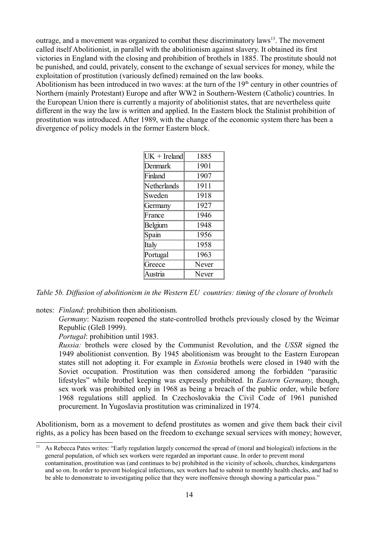outrage, and a movement was organized to combat these discriminatory laws<sup>[13](#page-13-0)</sup>. The movement called itself Abolitionist, in parallel with the abolitionism against slavery. It obtained its first victories in England with the closing and prohibition of brothels in 1885. The prostitute should not be punished, and could, privately, consent to the exchange of sexual services for money, while the exploitation of prostitution (variously defined) remained on the law books.

Abolitionism has been introduced in two waves: at the turn of the  $19<sup>th</sup>$  century in other countries of Northern (mainly Protestant) Europe and after WW2 in Southern-Western (Catholic) countries. In the European Union there is currently a majority of abolitionist states, that are nevertheless quite different in the way the law is written and applied. In the Eastern block the Stalinist prohibition of prostitution was introduced. After 1989, with the change of the economic system there has been a divergence of policy models in the former Eastern block.

| $UK + Ireland$ | 1885  |
|----------------|-------|
| Denmark        | 1901  |
| Finland        | 1907  |
| Netherlands    | 1911  |
| Sweden         | 1918  |
| Germany        | 1927  |
| France         | 1946  |
| Belgium        | 1948  |
| Spain          | 1956  |
| Italy          | 1958  |
| Portugal       | 1963  |
| Greece         | Never |
| Austria        | Never |

*Table 5b. Diffusion of abolitionism in the Western EU countries: timing of the closure of brothels*

notes: *Finland*: prohibition then abolitionism.

*Germany*: Nazism reopened the state-controlled brothels previously closed by the Weimar Republic (Gleß 1999).

*Portugal*: prohibition until 1983.

*Russia:* brothels were closed by the Communist Revolution, and the *USSR* signed the 1949 abolitionist convention. By 1945 abolitionism was brought to the Eastern European states still not adopting it. For example in *Estonia* brothels were closed in 1940 with the Soviet occupation. Prostitution was then considered among the forbidden "parasitic lifestyles" while brothel keeping was expressly prohibited. In *Eastern Germany*, though, sex work was prohibited only in 1968 as being a breach of the public order, while before 1968 regulations still applied. In Czechoslovakia the Civil Code of 1961 punished procurement. In Yugoslavia prostitution was criminalized in 1974.

Abolitionism, born as a movement to defend prostitutes as women and give them back their civil rights, as a policy has been based on the freedom to exchange sexual services with money; however,

<span id="page-13-0"></span><sup>&</sup>lt;sup>13</sup> As Rebecca Pates writes: "Early regulation largely concerned the spread of (moral and biological) infections in the general population, of which sex workers were regarded an important cause. In order to prevent moral contamination, prostitution was (and continues to be) prohibited in the vicinity of schools, churches, kindergartens and so on. In order to prevent biological infections, sex workers had to submit to monthly health checks, and had to be able to demonstrate to investigating police that they were inoffensive through showing a particular pass."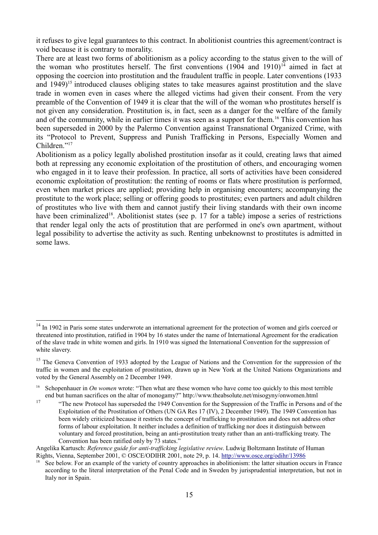it refuses to give legal guarantees to this contract. In abolitionist countries this agreement/contract is void because it is contrary to morality.

There are at least two forms of abolitionism as a policy according to the status given to the will of the woman who prostitutes herself. The first conventions  $(1904 \text{ and } 1910)^{14}$  $(1904 \text{ and } 1910)^{14}$  $(1904 \text{ and } 1910)^{14}$  aimed in fact at opposing the coercion into prostitution and the fraudulent traffic in people. Later conventions (1933 and 1949)<sup>[15](#page-14-1)</sup> introduced clauses obliging states to take measures against prostitution and the slave trade in women even in cases where the alleged victims had given their consent. From the very preamble of the Convention of 1949 it is clear that the will of the woman who prostitutes herself is not given any consideration. Prostitution is, in fact, seen as a danger for the welfare of the family and of the community, while in earlier times it was seen as a support for them.<sup>[16](#page-14-2)</sup> This convention has been superseded in 2000 by the Palermo Convention against Transnational Organized Crime, with its "Protocol to Prevent, Suppress and Punish Trafficking in Persons, Especially Women and Children."<sup>[17](#page-14-3)</sup>

Abolitionism as a policy legally abolished prostitution insofar as it could, creating laws that aimed both at repressing any economic exploitation of the prostitution of others, and encouraging women who engaged in it to leave their profession. In practice, all sorts of activities have been considered economic exploitation of prostitution: the renting of rooms or flats where prostitution is performed, even when market prices are applied; providing help in organising encounters; accompanying the prostitute to the work place; selling or offering goods to prostitutes; even partners and adult children of prostitutes who live with them and cannot justify their living standards with their own income have been criminalized<sup>[18](#page-14-4)</sup>. Abolitionist states (see p. 17 for a table) impose a series of restrictions that render legal only the acts of prostitution that are performed in one's own apartment, without legal possibility to advertise the activity as such. Renting unbeknownst to prostitutes is admitted in some laws.

<span id="page-14-0"></span><sup>&</sup>lt;sup>14</sup> In 1902 in Paris some states underwrote an international agreement for the protection of women and girls coerced or threatened into prostitution, ratified in 1904 by 16 states under the name of International Agreement for the eradication of the slave trade in white women and girls. In 1910 was signed the International Convention for the suppression of white slavery.

<span id="page-14-1"></span><sup>&</sup>lt;sup>15</sup> The Geneva Convention of 1933 adopted by the League of Nations and the Convention for the suppression of the traffic in women and the exploitation of prostitution, drawn up in New York at the United Nations Organizations and voted by the General Assembly on 2 December 1949.

<span id="page-14-2"></span><sup>16</sup> Schopenhauer in *On women* wrote: "Then what are these women who have come too quickly to this most terrible end but human sacrifices on the altar of monogamy?" http://www.theabsolute.net/misogyny/onwomen.html

<span id="page-14-3"></span><sup>&</sup>lt;sup>17</sup> "The new Protocol has superseded the 1949 Convention for the Suppression of the Traffic in Persons and of the Exploitation of the Prostitution of Others (UN GA Res 17 (IV), 2 December 1949). The 1949 Convention has been widely criticized because it restricts the concept of trafficking to prostitution and does not address other forms of labour exploitation. It neither includes a definition of trafficking nor does it distinguish between voluntary and forced prostitution, being an anti-prostitution treaty rather than an anti-trafficking treaty. The Convention has been ratified only by 73 states."

Angelika Kartusch: *Reference guide for anti-trafficking legislative review*. Ludwig Boltzmann Institute of Human Rights, Vienna, September 2001, © OSCE/ODIHR 2001, note 29, p. 14.<http://www.osce.org/odihr/13986>

<span id="page-14-4"></span> $18$  See below. For an example of the variety of country approaches in abolitionism: the latter situation occurs in France according to the literal interpretation of the Penal Code and in Sweden by jurisprudential interpretation, but not in Italy nor in Spain.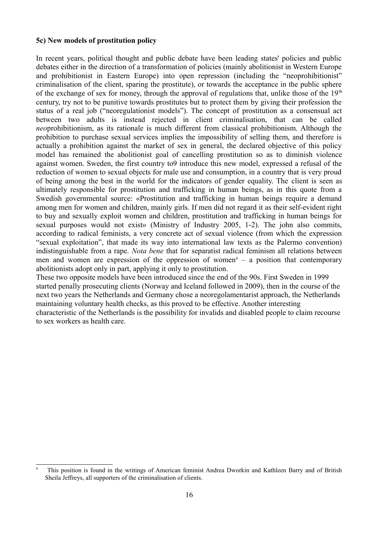#### **5c) New models of prostitution policy**

In recent years, political thought and public debate have been leading states' policies and public debates either in the direction of a transformation of policies (mainly abolitionist in Western Europe and prohibitionist in Eastern Europe) into open repression (including the "neoprohibitionist" criminalisation of the client, sparing the prostitute), or towards the acceptance in the public sphere of the exchange of sex for money, through the approval of regulations that, unlike those of the  $19<sup>th</sup>$ century, try not to be punitive towards prostitutes but to protect them by giving their profession the status of a real job ("neoregulationist models"). The concept of prostitution as a consensual act between two adults is instead rejected in client criminalisation, that can be called *neo*prohibitionism, as its rationale is much different from classical prohibitionism. Although the prohibition to purchase sexual services implies the impossibility of selling them, and therefore is actually a prohibition against the market of sex in general, the declared objective of this policy model has remained the abolitionist goal of cancelling prostitution so as to diminish violence against women. Sweden, the first country to9 introduce this new model, expressed a refusal of the reduction of women to sexual objects for male use and consumption, in a country that is very proud of being among the best in the world for the indicators of gender equality. The client is seen as ultimately responsible for prostitution and trafficking in human beings, as in this quote from a Swedish governmental source: «Prostitution and trafficking in human beings require a demand among men for women and children, mainly girls. If men did not regard it as their self-evident right to buy and sexually exploit women and children, prostitution and trafficking in human beings for sexual purposes would not exist» (Ministry of Industry 2005, 1-2). The john also commits, according to radical feminists, a very concrete act of sexual violence (from which the expression "sexual exploitation", that made its way into international law texts as the Palermo convention) indistinguishable from a rape. *Nota bene* that for separatist radical feminism all relations between men and women are expression of the oppression of women<sup>[8](#page-15-0)</sup> – a position that contemporary abolitionists adopt only in part, applying it only to prostitution.

These two opposite models have been introduced since the end of the 90s. First Sweden in 1999 started penally prosecuting clients (Norway and Iceland followed in 2009), then in the course of the next two years the Netherlands and Germany chose a neoregolamentarist approach, the Netherlands maintaining voluntary health checks, as this proved to be effective. Another interesting characteristic of the Netherlands is the possibility for invalids and disabled people to claim recourse to sex workers as health care.

<span id="page-15-0"></span>This position is found in the writings of American feminist Andrea Dworkin and Kathleen Barry and of British Sheila Jeffreys, all supporters of the criminalisation of clients.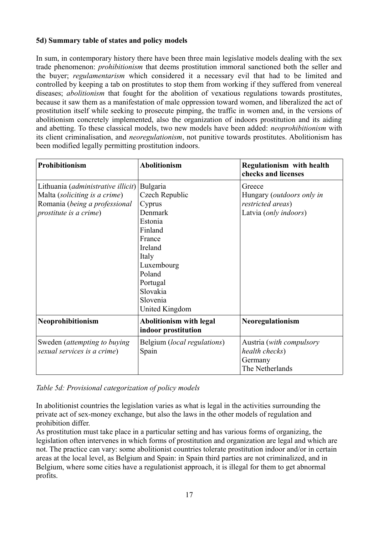#### **5d) Summary table of states and policy models**

In sum, in contemporary history there have been three main legislative models dealing with the sex trade phenomenon: *prohibitionism* that deems prostitution immoral sanctioned both the seller and the buyer; *regulamentarism* which considered it a necessary evil that had to be limited and controlled by keeping a tab on prostitutes to stop them from working if they suffered from venereal diseases; *abolitionism* that fought for the abolition of vexatious regulations towards prostitutes, because it saw them as a manifestation of male oppression toward women, and liberalized the act of prostitution itself while seeking to prosecute pimping, the traffic in women and, in the versions of abolitionism concretely implemented, also the organization of indoors prostitution and its aiding and abetting. To these classical models, two new models have been added: *neoprohibitionism* with its client criminalisation, and *neoregulationism*, not punitive towards prostitutes. Abolitionism has been modified legally permitting prostitution indoors.

| <b>Prohibitionism</b>                                                                                                                           | <b>Abolitionism</b>                                                                                                                                                               | <b>Regulationism with health</b><br>checks and licenses                                   |
|-------------------------------------------------------------------------------------------------------------------------------------------------|-----------------------------------------------------------------------------------------------------------------------------------------------------------------------------------|-------------------------------------------------------------------------------------------|
| Lithuania ( <i>administrative illicit</i> )<br>Malta (soliciting is a crime)<br>Romania (being a professional<br><i>prostitute is a crime</i> ) | Bulgaria<br>Czech Republic<br>Cyprus<br>Denmark<br>Estonia<br>Finland<br>France<br>Ireland<br>Italy<br>Luxembourg<br>Poland<br>Portugal<br>Slovakia<br>Slovenia<br>United Kingdom | Greece<br>Hungary ( <i>outdoors only in</i><br>restricted areas)<br>Latvia (only indoors) |
| Neoprohibitionism                                                                                                                               | <b>Abolitionism with legal</b><br>indoor prostitution                                                                                                                             | Neoregulationism                                                                          |
| Sweden ( <i>attempting to buying</i><br>sexual services is a crime)                                                                             | Belgium (local regulations)<br>Spain                                                                                                                                              | Austria (with compulsory<br>health checks)<br>Germany<br>The Netherlands                  |

*Table 5d: Provisional categorization of policy models*

In abolitionist countries the legislation varies as what is legal in the activities surrounding the private act of sex-money exchange, but also the laws in the other models of regulation and prohibition differ.

As prostitution must take place in a particular setting and has various forms of organizing, the legislation often intervenes in which forms of prostitution and organization are legal and which are not. The practice can vary: some abolitionist countries tolerate prostitution indoor and/or in certain areas at the local level, as Belgium and Spain: in Spain third parties are not criminalized, and in Belgium, where some cities have a regulationist approach, it is illegal for them to get abnormal profits.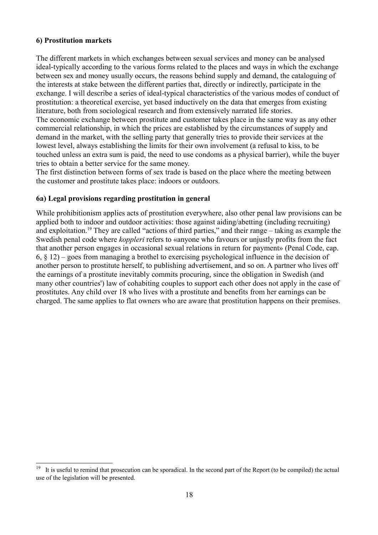#### **6) Prostitution markets**

The different markets in which exchanges between sexual services and money can be analysed ideal-typically according to the various forms related to the places and ways in which the exchange between sex and money usually occurs, the reasons behind supply and demand, the cataloguing of the interests at stake between the different parties that, directly or indirectly, participate in the exchange. I will describe a series of ideal-typical characteristics of the various modes of conduct of prostitution: a theoretical exercise, yet based inductively on the data that emerges from existing literature, both from sociological research and from extensively narrated life stories. The economic exchange between prostitute and customer takes place in the same way as any other commercial relationship, in which the prices are established by the circumstances of supply and demand in the market, with the selling party that generally tries to provide their services at the lowest level, always establishing the limits for their own involvement (a refusal to kiss, to be touched unless an extra sum is paid, the need to use condoms as a physical barrier), while the buyer tries to obtain a better service for the same money.

The first distinction between forms of sex trade is based on the place where the meeting between the customer and prostitute takes place: indoors or outdoors.

#### **6a) Legal provisions regarding prostitution in general**

While prohibitionism applies acts of prostitution everywhere, also other penal law provisions can be applied both to indoor and outdoor activities: those against aiding/abetting (including recruiting) and exploitation.<sup>[19](#page-17-0)</sup> They are called "actions of third parties," and their range – taking as example the Swedish penal code where *koppleri* refers to «anyone who favours or unjustly profits from the fact that another person engages in occasional sexual relations in return for payment» (Penal Code, cap. 6, § 12) – goes from managing a brothel to exercising psychological influence in the decision of another person to prostitute herself, to publishing advertisement, and so on. A partner who lives off the earnings of a prostitute inevitably commits procuring, since the obligation in Swedish (and many other countries') law of cohabiting couples to support each other does not apply in the case of prostitutes. Any child over 18 who lives with a prostitute and benefits from her earnings can be charged. The same applies to flat owners who are aware that prostitution happens on their premises.

<span id="page-17-0"></span><sup>19</sup> It is useful to remind that prosecution can be sporadical. In the second part of the Report (to be compiled) the actual use of the legislation will be presented.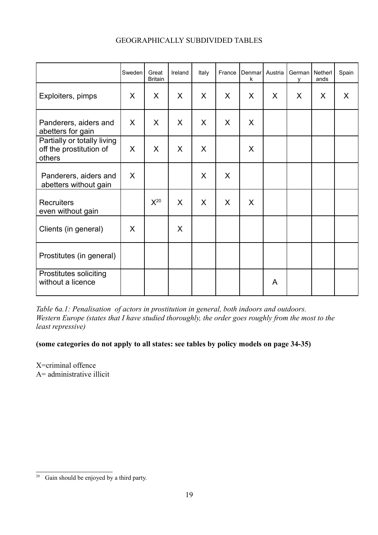|                                                                  | Sweden  | Great<br><b>Britain</b> | Ireland | Italy   | France  | Denmar<br>k | Austria | German   Netherl<br>v | ands | Spain |
|------------------------------------------------------------------|---------|-------------------------|---------|---------|---------|-------------|---------|-----------------------|------|-------|
| Exploiters, pimps                                                | X       | X                       | X       | $\sf X$ | X       | X           | X       | X                     | X    | X     |
| Panderers, aiders and<br>abetters for gain                       | $\sf X$ | $\sf X$                 | X       | $\sf X$ | $\sf X$ | X           |         |                       |      |       |
| Partially or totally living<br>off the prostitution of<br>others | X       | $\sf X$                 | $\sf X$ | $\sf X$ |         | X           |         |                       |      |       |
| Panderers, aiders and<br>abetters without gain                   | X       |                         |         | X       | X       |             |         |                       |      |       |
| <b>Recruiters</b><br>even without gain                           |         | $X^{20}$                | $\sf X$ | $\sf X$ | $\sf X$ | X           |         |                       |      |       |
| Clients (in general)                                             | X       |                         | X       |         |         |             |         |                       |      |       |
| Prostitutes (in general)                                         |         |                         |         |         |         |             |         |                       |      |       |
| <b>Prostitutes soliciting</b><br>without a licence               |         |                         |         |         |         |             | A       |                       |      |       |

#### GEOGRAPHICALLY SUBDIVIDED TABLES

*Table 6a.1: Penalisation of actors in prostitution in general, both indoors and outdoors. Western Europe (states that I have studied thoroughly, the order goes roughly from the most to the least repressive)*

**(some categories do not apply to all states: see tables by policy models on page 34-35)**

X=criminal offence A= administrative illicit

<span id="page-18-0"></span> $\overline{20}$  Gain should be enjoyed by a third party.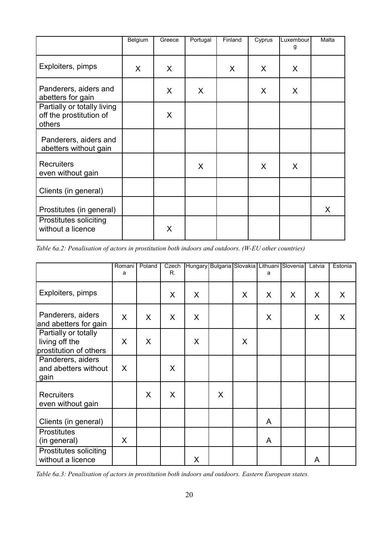|                                                                  | Belgium | Greece  | Portugal | Finland | Cyprus | Luxembour<br>g | Malta |
|------------------------------------------------------------------|---------|---------|----------|---------|--------|----------------|-------|
| Exploiters, pimps                                                | X       | $\sf X$ |          | $\sf X$ | X      | X              |       |
| Panderers, aiders and<br>abetters for gain                       |         | X       | X        |         | X      | X              |       |
| Partially or totally living<br>off the prostitution of<br>others |         | X       |          |         |        |                |       |
| Panderers, aiders and<br>abetters without gain                   |         |         |          |         |        |                |       |
| <b>Recruiters</b><br>even without gain                           |         |         | $\sf X$  |         | X      | X              |       |
| Clients (in general)                                             |         |         |          |         |        |                |       |
| Prostitutes (in general)                                         |         |         |          |         |        |                | X     |
| Prostitutes soliciting<br>without a licence                      |         | X       |          |         |        |                |       |

*Table 6a.2: Penalisation of actors in prostitution both indoors and outdoors. (W-EU other countries)*

|                                                                  | Romani<br>a  | Poland | Czech<br>R. |   |   |              | a       | Hungary Bulgaria Slovakia Lithuani Slovenia | Latvia  | Estonia |
|------------------------------------------------------------------|--------------|--------|-------------|---|---|--------------|---------|---------------------------------------------|---------|---------|
| Exploiters, pimps                                                |              |        | X           | X |   | $\mathsf{X}$ | $\sf X$ | X                                           | $\sf X$ | $\sf X$ |
| Panderers, aiders<br>and abetters for gain                       | $\mathsf{X}$ | X      | X           | X |   |              | X       |                                             | X       | X       |
| Partially or totally<br>living off the<br>prostitution of others | X            | X      |             | X |   | X            |         |                                             |         |         |
| Panderers, aiders<br>and abetters without<br>gain                | X            |        | X           |   |   |              |         |                                             |         |         |
| <b>Recruiters</b><br>even without gain                           |              | X      | X           |   | X |              |         |                                             |         |         |
| Clients (in general)                                             |              |        |             |   |   |              | A       |                                             |         |         |
| <b>Prostitutes</b><br>(in general)                               | X            |        |             |   |   |              | A       |                                             |         |         |
| Prostitutes soliciting<br>without a licence                      |              |        |             | X |   |              |         |                                             | A       |         |

*Table 6a.3: Penalisation of actors in prostitution both indoors and outdoors. Eastern European states.*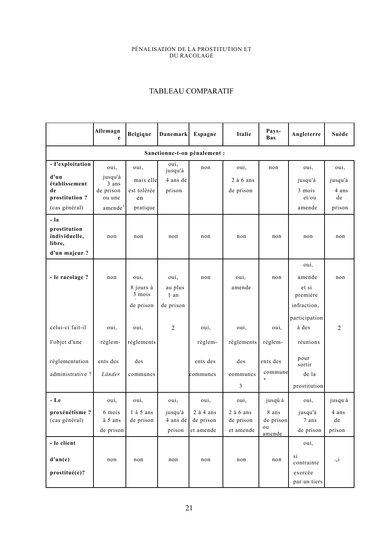#### PÉNALISATION DE LA PROSTITUTION ET DU RACOLAGE

### TABLEAU COMPARATIF

|                                         | Allemagn<br>e        | <b>Belgique</b>   | Danemark        | Espagne                      | Italie                 | Pays-<br><b>Bas</b>     | Angleterre                       | Suède          |
|-----------------------------------------|----------------------|-------------------|-----------------|------------------------------|------------------------|-------------------------|----------------------------------|----------------|
|                                         |                      |                   |                 | Sanctionne-t-on pénalement : |                        |                         |                                  |                |
| - I'exploitation                        | oui,                 | oui,              | oui,<br>jusqu'à | non                          | oui,                   | non                     | oui,                             | oui,           |
| d'un<br>établissement                   | jusqu'à<br>3 ans     | mais elle         | 4 ans de        |                              | $2$ à 6 ans            |                         | jusqu'à                          | jusqu'à        |
| de<br>prostitution?                     | de prison<br>ou une  | est tolérée<br>en | prison          |                              | de prison              |                         | 3 mois<br>et/ou                  | 4 ans<br>de    |
| (cas général)                           | amende <sup>1</sup>  | pratique          |                 |                              |                        |                         | amende                           | prison         |
| - la                                    |                      |                   |                 |                              |                        |                         |                                  |                |
| prostitution<br>individuelle,<br>libre, | non                  | non               | non             | non                          | non                    | non                     | non                              | non            |
| d'un majeur ?                           |                      |                   |                 |                              |                        |                         |                                  |                |
|                                         |                      |                   |                 |                              |                        |                         | oui,                             |                |
| - le racolage ?                         | non                  | oui,<br>8 jours à | oui,<br>au plus | non                          | oui,<br>amende         | non                     | amende<br>et si                  | non            |
|                                         |                      | 3 mois            | 1 an            |                              |                        |                         | première                         |                |
|                                         |                      | de prison         | de prison       |                              |                        |                         | infraction,                      |                |
|                                         |                      |                   |                 |                              |                        |                         | participation                    |                |
| celui-ci fait-il                        | oui,                 | oui,              | $\overline{2}$  | oui,                         | oui,                   | oui,                    | à des                            | $\overline{2}$ |
| I'objet d'une                           | règlem-              | règlements        |                 | règlem-                      | règlements             | règlem-                 | réunions                         |                |
| réglementation                          | ents des             | des               |                 | ents des                     | des                    | ents des                | pour<br>sortir                   |                |
| administrative?                         | Länder               | communes          |                 | communes                     | communes               | commune<br>$\mathbf{C}$ | de la                            |                |
|                                         |                      |                   |                 |                              | 3                      |                         | prostitution                     |                |
| - Le                                    | oui,                 | oui,              | oui,            | oui,                         | oui,                   | jusqú <sup>2</sup> à    | oui,                             | jusqu'à        |
| proxénétisme?                           | 6 mois               | $1$ à $5$ ans     | jusqu'à         | $2$ à 4 ans                  | $2$ à 6 ans            | 8 ans                   | jusqu'à                          | 4 ans          |
| (cas général)                           | à 5 ans<br>de prison | de prison         | $4$ ans de      | de prison<br>et amende       | de prison<br>et amende | de prison<br>ou         | $7\,\,\mathrm{ans}$<br>de prison | de<br>prison   |
|                                         |                      |                   | prison          |                              |                        | amende                  |                                  |                |
| - le client                             |                      |                   |                 |                              |                        |                         | oui,                             |                |
| d'un(e)                                 | non                  | non               | non             | non                          | non                    | non                     | si<br>contrainte                 | $\circ_u i$    |
| prostitué(e)?                           |                      |                   |                 |                              |                        |                         | exercée<br>par un tiers          |                |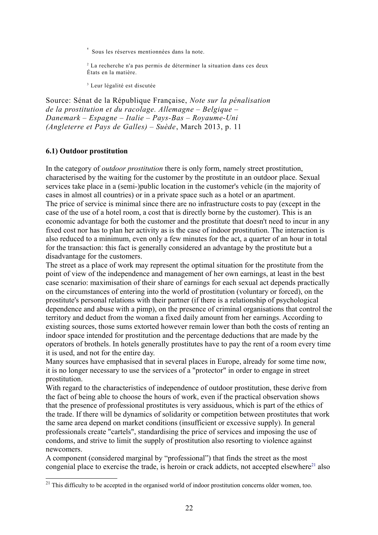' Sous les réserves mentionnées dans la note.

2 La recherche n'a pas permis de déterminer la situation dans ces deux États en la matière.

3 Leur légalité est discutée

Source: Sénat de la République Française, *Note sur la pénalisation de la prostitution et du racolage. Allemagne – Belgique – Danemark – Espagne – Italie – Pays-Bas – Royaume-Uni (Angleterre et Pays de Galles) – Suède*, March 2013, p. 11

#### **6.1) Outdoor prostitution**

In the category of *outdoor prostitution* there is only form, namely street prostitution, characterised by the waiting for the customer by the prostitute in an outdoor place. Sexual services take place in a (semi-)public location in the customer's vehicle (in the majority of cases in almost all countries) or in a private space such as a hotel or an apartment. The price of service is minimal since there are no infrastructure costs to pay (except in the case of the use of a hotel room, a cost that is directly borne by the customer). This is an economic advantage for both the customer and the prostitute that doesn't need to incur in any fixed cost nor has to plan her activity as is the case of indoor prostitution. The interaction is also reduced to a minimum, even only a few minutes for the act, a quarter of an hour in total for the transaction: this fact is generally considered an advantage by the prostitute but a disadvantage for the customers.

The street as a place of work may represent the optimal situation for the prostitute from the point of view of the independence and management of her own earnings, at least in the best case scenario: maximisation of their share of earnings for each sexual act depends practically on the circumstances of entering into the world of prostitution (voluntary or forced), on the prostitute's personal relations with their partner (if there is a relationship of psychological dependence and abuse with a pimp), on the presence of criminal organisations that control the territory and deduct from the woman a fixed daily amount from her earnings. According to existing sources, those sums extorted however remain lower than both the costs of renting an indoor space intended for prostitution and the percentage deductions that are made by the operators of brothels. In hotels generally prostitutes have to pay the rent of a room every time it is used, and not for the entire day.

Many sources have emphasised that in several places in Europe, already for some time now, it is no longer necessary to use the services of a "protector" in order to engage in street prostitution.

With regard to the characteristics of independence of outdoor prostitution, these derive from the fact of being able to choose the hours of work, even if the practical observation shows that the presence of professional prostitutes is very assiduous, which is part of the ethics of the trade. If there will be dynamics of solidarity or competition between prostitutes that work the same area depend on market conditions (insufficient or excessive supply). In general professionals create "cartels", standardising the price of services and imposing the use of condoms, and strive to limit the supply of prostitution also resorting to violence against newcomers.

A component (considered marginal by "professional") that finds the street as the most congenial place to exercise the trade, is heroin or crack addicts, not accepted elsewhere<sup>[21](#page-21-0)</sup> also

<span id="page-21-0"></span> $21$  This difficulty to be accepted in the organised world of indoor prostitution concerns older women, too.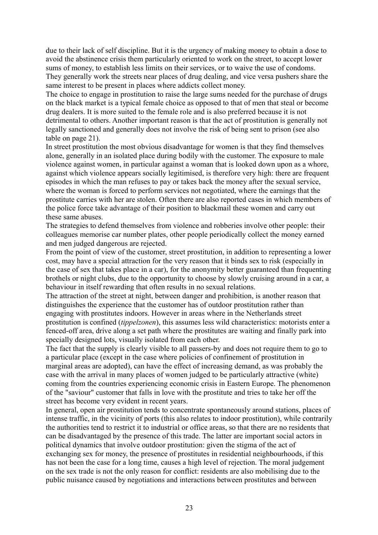due to their lack of self discipline. But it is the urgency of making money to obtain a dose to avoid the abstinence crisis them particularly oriented to work on the street, to accept lower sums of money, to establish less limits on their services, or to waive the use of condoms. They generally work the streets near places of drug dealing, and vice versa pushers share the same interest to be present in places where addicts collect money.

The choice to engage in prostitution to raise the large sums needed for the purchase of drugs on the black market is a typical female choice as opposed to that of men that steal or become drug dealers. It is more suited to the female role and is also preferred because it is not detrimental to others. Another important reason is that the act of prostitution is generally not legally sanctioned and generally does not involve the risk of being sent to prison (see also table on page 21).

In street prostitution the most obvious disadvantage for women is that they find themselves alone, generally in an isolated place during bodily with the customer. The exposure to male violence against women, in particular against a woman that is looked down upon as a whore, against which violence appears socially legitimised, is therefore very high: there are frequent episodes in which the man refuses to pay or takes back the money after the sexual service, where the woman is forced to perform services not negotiated, where the earnings that the prostitute carries with her are stolen. Often there are also reported cases in which members of the police force take advantage of their position to blackmail these women and carry out these same abuses.

The strategies to defend themselves from violence and robberies involve other people: their colleagues memorise car number plates, other people periodically collect the money earned and men judged dangerous are rejected.

From the point of view of the customer, street prostitution, in addition to representing a lower cost, may have a special attraction for the very reason that it binds sex to risk (especially in the case of sex that takes place in a car), for the anonymity better guaranteed than frequenting brothels or night clubs, due to the opportunity to choose by slowly cruising around in a car, a behaviour in itself rewarding that often results in no sexual relations.

The attraction of the street at night, between danger and prohibition, is another reason that distinguishes the experience that the customer has of outdoor prostitution rather than engaging with prostitutes indoors. However in areas where in the Netherlands street prostitution is confined (*tippelzonen*), this assumes less wild characteristics: motorists enter a fenced-off area, drive along a set path where the prostitutes are waiting and finally park into specially designed lots, visually isolated from each other.

The fact that the supply is clearly visible to all passers-by and does not require them to go to a particular place (except in the case where policies of confinement of prostitution in marginal areas are adopted), can have the effect of increasing demand, as was probably the case with the arrival in many places of women judged to be particularly attractive (white) coming from the countries experiencing economic crisis in Eastern Europe. The phenomenon of the "saviour" customer that falls in love with the prostitute and tries to take her off the street has become very evident in recent years.

In general, open air prostitution tends to concentrate spontaneously around stations, places of intense traffic, in the vicinity of ports (this also relates to indoor prostitution), while contrarily the authorities tend to restrict it to industrial or office areas, so that there are no residents that can be disadvantaged by the presence of this trade. The latter are important social actors in political dynamics that involve outdoor prostitution: given the stigma of the act of exchanging sex for money, the presence of prostitutes in residential neighbourhoods, if this has not been the case for a long time, causes a high level of rejection. The moral judgement on the sex trade is not the only reason for conflict: residents are also mobilising due to the public nuisance caused by negotiations and interactions between prostitutes and between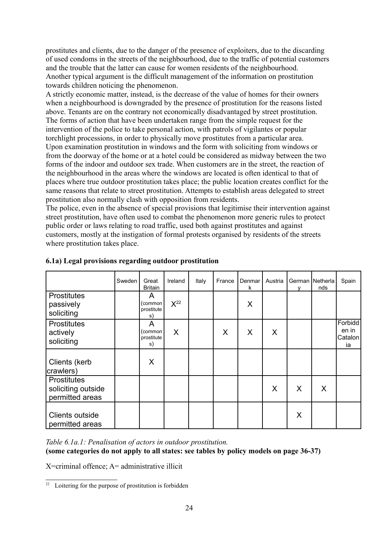prostitutes and clients, due to the danger of the presence of exploiters, due to the discarding of used condoms in the streets of the neighbourhood, due to the traffic of potential customers and the trouble that the latter can cause for women residents of the neighbourhood. Another typical argument is the difficult management of the information on prostitution towards children noticing the phenomenon.

A strictly economic matter, instead, is the decrease of the value of homes for their owners when a neighbourhood is downgraded by the presence of prostitution for the reasons listed above. Tenants are on the contrary not economically disadvantaged by street prostitution. The forms of action that have been undertaken range from the simple request for the intervention of the police to take personal action, with patrols of vigilantes or popular torchlight processions, in order to physically move prostitutes from a particular area. Upon examination prostitution in windows and the form with soliciting from windows or from the doorway of the home or at a hotel could be considered as midway between the two forms of the indoor and outdoor sex trade. When customers are in the street, the reaction of the neighbourhood in the areas where the windows are located is often identical to that of places where true outdoor prostitution takes place; the public location creates conflict for the same reasons that relate to street prostitution. Attempts to establish areas delegated to street prostitution also normally clash with opposition from residents.

The police, even in the absence of special provisions that legitimise their intervention against street prostitution, have often used to combat the phenomenon more generic rules to protect public order or laws relating to road traffic, used both against prostitutes and against customers, mostly at the instigation of formal protests organised by residents of the streets where prostitution takes place.

|                                                             | Sweden | Great<br><b>Britain</b>            | Ireland  | Italy | France | Denmar<br>k | Austria | v | German   Netherla  <br>nds | Spain                             |
|-------------------------------------------------------------|--------|------------------------------------|----------|-------|--------|-------------|---------|---|----------------------------|-----------------------------------|
| <b>Prostitutes</b><br>passively<br>soliciting               |        | A<br>(common<br>prostitute<br>s)   | $X^{22}$ |       |        | X           |         |   |                            |                                   |
| <b>Prostitutes</b><br>actively<br>soliciting                |        | A<br>(common  <br>prostitute<br>s) | X        |       | X      | X           | X       |   |                            | Forbidd<br>en in<br>Catalon<br>ia |
| Clients (kerb<br>crawlers)                                  |        | X                                  |          |       |        |             |         |   |                            |                                   |
| <b>Prostitutes</b><br>soliciting outside<br>permitted areas |        |                                    |          |       |        |             | X       | X | X                          |                                   |
| Clients outside<br>permitted areas                          |        |                                    |          |       |        |             |         | X |                            |                                   |

#### **6.1a) Legal provisions regarding outdoor prostitution**

*Table 6.1a.1: Penalisation of actors in outdoor prostitution.*

**(some categories do not apply to all states: see tables by policy models on page 36-37)**

X=criminal offence; A= administrative illicit

<span id="page-23-0"></span><sup>&</sup>lt;sup>22</sup> Loitering for the purpose of prostitution is forbidden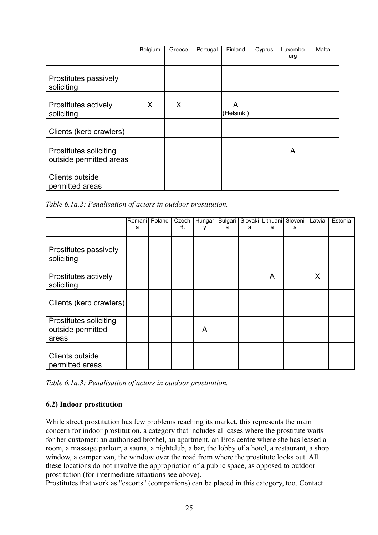|                                                   | Belgium | Greece | Portugal | Finland         | Cyprus | Luxembo<br>urg | Malta |
|---------------------------------------------------|---------|--------|----------|-----------------|--------|----------------|-------|
| Prostitutes passively<br>soliciting               |         |        |          |                 |        |                |       |
| Prostitutes actively<br>soliciting                | X       | X.     |          | A<br>(Helsinki) |        |                |       |
| Clients (kerb crawlers)                           |         |        |          |                 |        |                |       |
| Prostitutes soliciting<br>outside permitted areas |         |        |          |                 |        | A              |       |
| Clients outside<br>permitted areas                |         |        |          |                 |        |                |       |

*Table 6.1a.2: Penalisation of actors in outdoor prostitution.*

|                                                             | a | Romanil Poland | Czech<br>R. | Hungar<br>٧ | Bulgari<br>a | a | a | Slovaki Lithuani Sloveni<br>a | Latvia | Estonia |
|-------------------------------------------------------------|---|----------------|-------------|-------------|--------------|---|---|-------------------------------|--------|---------|
| Prostitutes passively<br>soliciting                         |   |                |             |             |              |   |   |                               |        |         |
| Prostitutes actively<br>soliciting                          |   |                |             |             |              |   | A |                               | X      |         |
| Clients (kerb crawlers)                                     |   |                |             |             |              |   |   |                               |        |         |
| <b>Prostitutes soliciting</b><br>outside permitted<br>areas |   |                |             | A           |              |   |   |                               |        |         |
| Clients outside<br>permitted areas                          |   |                |             |             |              |   |   |                               |        |         |

*Table 6.1a.3: Penalisation of actors in outdoor prostitution.*

#### **6.2) Indoor prostitution**

While street prostitution has few problems reaching its market, this represents the main concern for indoor prostitution, a category that includes all cases where the prostitute waits for her customer: an authorised brothel, an apartment, an Eros centre where she has leased a room, a massage parlour, a sauna, a nightclub, a bar, the lobby of a hotel, a restaurant, a shop window, a camper van, the window over the road from where the prostitute looks out. All these locations do not involve the appropriation of a public space, as opposed to outdoor prostitution (for intermediate situations see above).

Prostitutes that work as "escorts" (companions) can be placed in this category, too. Contact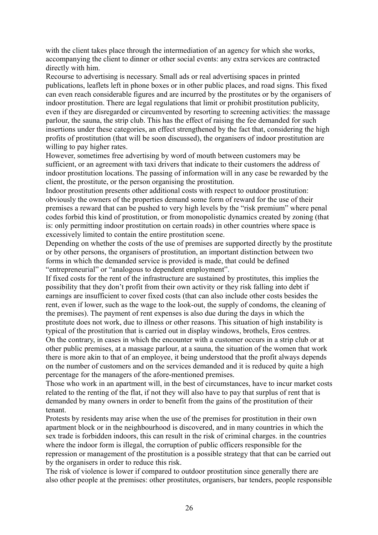with the client takes place through the intermediation of an agency for which she works, accompanying the client to dinner or other social events: any extra services are contracted directly with him.

Recourse to advertising is necessary. Small ads or real advertising spaces in printed publications, leaflets left in phone boxes or in other public places, and road signs. This fixed can even reach considerable figures and are incurred by the prostitutes or by the organisers of indoor prostitution. There are legal regulations that limit or prohibit prostitution publicity, even if they are disregarded or circumvented by resorting to screening activities: the massage parlour, the sauna, the strip club. This has the effect of raising the fee demanded for such insertions under these categories, an effect strengthened by the fact that, considering the high profits of prostitution (that will be soon discussed), the organisers of indoor prostitution are willing to pay higher rates.

However, sometimes free advertising by word of mouth between customers may be sufficient, or an agreement with taxi drivers that indicate to their customers the address of indoor prostitution locations. The passing of information will in any case be rewarded by the client, the prostitute, or the person organising the prostitution.

Indoor prostitution presents other additional costs with respect to outdoor prostitution: obviously the owners of the properties demand some form of reward for the use of their premises a reward that can be pushed to very high levels by the "risk premium" where penal codes forbid this kind of prostitution, or from monopolistic dynamics created by zoning (that is: only permitting indoor prostitution on certain roads) in other countries where space is excessively limited to contain the entire prostitution scene.

Depending on whether the costs of the use of premises are supported directly by the prostitute or by other persons, the organisers of prostitution, an important distinction between two forms in which the demanded service is provided is made, that could be defined "entrepreneurial" or "analogous to dependent employment".

If fixed costs for the rent of the infrastructure are sustained by prostitutes, this implies the possibility that they don't profit from their own activity or they risk falling into debt if earnings are insufficient to cover fixed costs (that can also include other costs besides the rent, even if lower, such as the wage to the look-out, the supply of condoms, the cleaning of the premises). The payment of rent expenses is also due during the days in which the prostitute does not work, due to illness or other reasons. This situation of high instability is typical of the prostitution that is carried out in display windows, brothels, Eros centres. On the contrary, in cases in which the encounter with a customer occurs in a strip club or at other public premises, at a massage parlour, at a sauna, the situation of the women that work there is more akin to that of an employee, it being understood that the profit always depends on the number of customers and on the services demanded and it is reduced by quite a high percentage for the managers of the afore-mentioned premises.

Those who work in an apartment will, in the best of circumstances, have to incur market costs related to the renting of the flat, if not they will also have to pay that surplus of rent that is demanded by many owners in order to benefit from the gains of the prostitution of their tenant.

Protests by residents may arise when the use of the premises for prostitution in their own apartment block or in the neighbourhood is discovered, and in many countries in which the sex trade is forbidden indoors, this can result in the risk of criminal charges. in the countries where the indoor form is illegal, the corruption of public officers responsible for the repression or management of the prostitution is a possible strategy that that can be carried out by the organisers in order to reduce this risk.

The risk of violence is lower if compared to outdoor prostitution since generally there are also other people at the premises: other prostitutes, organisers, bar tenders, people responsible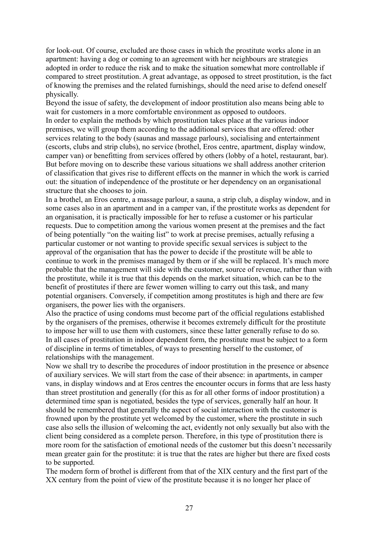for look-out. Of course, excluded are those cases in which the prostitute works alone in an apartment: having a dog or coming to an agreement with her neighbours are strategies adopted in order to reduce the risk and to make the situation somewhat more controllable if compared to street prostitution. A great advantage, as opposed to street prostitution, is the fact of knowing the premises and the related furnishings, should the need arise to defend oneself physically.

Beyond the issue of safety, the development of indoor prostitution also means being able to wait for customers in a more comfortable environment as opposed to outdoors. In order to explain the methods by which prostitution takes place at the various indoor

premises, we will group them according to the additional services that are offered: other services relating to the body (saunas and massage parlours), socialising and entertainment (escorts, clubs and strip clubs), no service (brothel, Eros centre, apartment, display window, camper van) or benefitting from services offered by others (lobby of a hotel, restaurant, bar). But before moving on to describe these various situations we shall address another criterion of classification that gives rise to different effects on the manner in which the work is carried out: the situation of independence of the prostitute or her dependency on an organisational structure that she chooses to join.

In a brothel, an Eros centre, a massage parlour, a sauna, a strip club, a display window, and in some cases also in an apartment and in a camper van, if the prostitute works as dependent for an organisation, it is practically impossible for her to refuse a customer or his particular requests. Due to competition among the various women present at the premises and the fact of being potentially "on the waiting list" to work at precise premises, actually refusing a particular customer or not wanting to provide specific sexual services is subject to the approval of the organisation that has the power to decide if the prostitute will be able to continue to work in the premises managed by them or if she will be replaced. It's much more probable that the management will side with the customer, source of revenue, rather than with the prostitute, while it is true that this depends on the market situation, which can be to the benefit of prostitutes if there are fewer women willing to carry out this task, and many potential organisers. Conversely, if competition among prostitutes is high and there are few organisers, the power lies with the organisers.

Also the practice of using condoms must become part of the official regulations established by the organisers of the premises, otherwise it becomes extremely difficult for the prostitute to impose her will to use them with customers, since these latter generally refuse to do so. In all cases of prostitution in indoor dependent form, the prostitute must be subject to a form of discipline in terms of timetables, of ways to presenting herself to the customer, of relationships with the management.

Now we shall try to describe the procedures of indoor prostitution in the presence or absence of auxiliary services. We will start from the case of their absence: in apartments, in camper vans, in display windows and at Eros centres the encounter occurs in forms that are less hasty than street prostitution and generally (for this as for all other forms of indoor prostitution) a determined time span is negotiated, besides the type of services, generally half an hour. It should be remembered that generally the aspect of social interaction with the customer is frowned upon by the prostitute yet welcomed by the customer, where the prostitute in such case also sells the illusion of welcoming the act, evidently not only sexually but also with the client being considered as a complete person. Therefore, in this type of prostitution there is more room for the satisfaction of emotional needs of the customer but this doesn't necessarily mean greater gain for the prostitute: it is true that the rates are higher but there are fixed costs to be supported.

The modern form of brothel is different from that of the XIX century and the first part of the XX century from the point of view of the prostitute because it is no longer her place of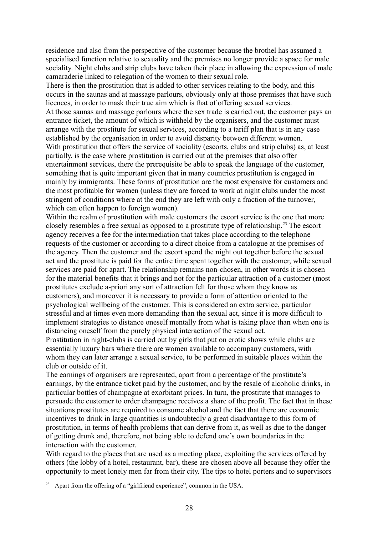residence and also from the perspective of the customer because the brothel has assumed a specialised function relative to sexuality and the premises no longer provide a space for male sociality. Night clubs and strip clubs have taken their place in allowing the expression of male camaraderie linked to relegation of the women to their sexual role.

There is then the prostitution that is added to other services relating to the body, and this occurs in the saunas and at massage parlours, obviously only at those premises that have such licences, in order to mask their true aim which is that of offering sexual services. At those saunas and massage parlours where the sex trade is carried out, the customer pays an entrance ticket, the amount of which is withheld by the organisers, and the customer must arrange with the prostitute for sexual services, according to a tariff plan that is in any case established by the organisation in order to avoid disparity between different women. With prostitution that offers the service of sociality (escorts, clubs and strip clubs) as, at least partially, is the case where prostitution is carried out at the premises that also offer entertainment services, there the prerequisite be able to speak the language of the customer, something that is quite important given that in many countries prostitution is engaged in mainly by immigrants. These forms of prostitution are the most expensive for customers and the most profitable for women (unless they are forced to work at night clubs under the most stringent of conditions where at the end they are left with only a fraction of the turnover, which can often happen to foreign women).

Within the realm of prostitution with male customers the escort service is the one that more closely resembles a free sexual as opposed to a prostitute type of relationship.[23](#page-27-0) The escort agency receives a fee for the intermediation that takes place according to the telephone requests of the customer or according to a direct choice from a catalogue at the premises of the agency. Then the customer and the escort spend the night out together before the sexual act and the prostitute is paid for the entire time spent together with the customer, while sexual services are paid for apart. The relationship remains non-chosen, in other words it is chosen for the material benefits that it brings and not for the particular attraction of a customer (most prostitutes exclude a-priori any sort of attraction felt for those whom they know as customers), and moreover it is necessary to provide a form of attention oriented to the psychological wellbeing of the customer. This is considered an extra service, particular stressful and at times even more demanding than the sexual act, since it is more difficult to implement strategies to distance oneself mentally from what is taking place than when one is distancing oneself from the purely physical interaction of the sexual act.

Prostitution in night-clubs is carried out by girls that put on erotic shows while clubs are essentially luxury bars where there are women available to accompany customers, with whom they can later arrange a sexual service, to be performed in suitable places within the club or outside of it.

The earnings of organisers are represented, apart from a percentage of the prostitute's earnings, by the entrance ticket paid by the customer, and by the resale of alcoholic drinks, in particular bottles of champagne at exorbitant prices. In turn, the prostitute that manages to persuade the customer to order champagne receives a share of the profit. The fact that in these situations prostitutes are required to consume alcohol and the fact that there are economic incentives to drink in large quantities is undoubtedly a great disadvantage to this form of prostitution, in terms of health problems that can derive from it, as well as due to the danger of getting drunk and, therefore, not being able to defend one's own boundaries in the interaction with the customer.

With regard to the places that are used as a meeting place, exploiting the services offered by others (the lobby of a hotel, restaurant, bar), these are chosen above all because they offer the opportunity to meet lonely men far from their city. The tips to hotel porters and to supervisors

<span id="page-27-0"></span><sup>&</sup>lt;sup>23</sup> Apart from the offering of a "girlfriend experience", common in the USA.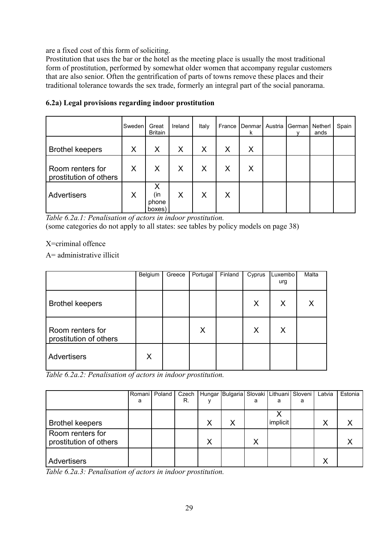are a fixed cost of this form of soliciting.

Prostitution that uses the bar or the hotel as the meeting place is usually the most traditional form of prostitution, performed by somewhat older women that accompany regular customers that are also senior. Often the gentrification of parts of towns remove these places and their traditional tolerance towards the sex trade, formerly an integral part of the social panorama.

|                                            | Sweden | Great<br><b>Britain</b>     | Ireland | Italy | France | Denmar<br>k | Austria   German | Netherl<br>ands | Spain |
|--------------------------------------------|--------|-----------------------------|---------|-------|--------|-------------|------------------|-----------------|-------|
| <b>Brothel keepers</b>                     | Χ      | X                           | X       | X     | X      | X           |                  |                 |       |
| Room renters for<br>prostitution of others | X      | X                           | X       | X     | X      | X           |                  |                 |       |
| <b>Advertisers</b>                         | Χ      | X<br>(in<br>phone<br>boxes) | X       | Χ     | X      |             |                  |                 |       |

#### **6.2a) Legal provisions regarding indoor prostitution**

*Table 6.2a.1: Penalisation of actors in indoor prostitution.* (some categories do not apply to all states: see tables by policy models on page 38)

X=criminal offence

A= administrative illicit

|                                            | Belgium | Greece | Portugal | Finland | Cyprus | Luxembo<br>urg | Malta |
|--------------------------------------------|---------|--------|----------|---------|--------|----------------|-------|
| <b>Brothel keepers</b>                     |         |        |          |         | X      | X              | Χ     |
| Room renters for<br>prostitution of others |         |        | X        |         | X      | X              |       |
| <b>Advertisers</b>                         | X       |        |          |         |        |                |       |

*Table 6.2a.2: Penalisation of actors in indoor prostitution.*

|                        | Romani   Poland | Czech |   | Hungar Bulgaria Slovaki   Lithuani   Sloveni |   |          |   | Latvia            | Estonia |
|------------------------|-----------------|-------|---|----------------------------------------------|---|----------|---|-------------------|---------|
|                        | a               | R.    |   |                                              | a | a        | a |                   |         |
|                        |                 |       |   |                                              |   |          |   |                   |         |
| <b>Brothel keepers</b> |                 |       | Χ | X                                            |   | implicit |   | Χ                 |         |
| Room renters for       |                 |       |   |                                              |   |          |   |                   |         |
| prostitution of others |                 |       | Χ |                                              |   |          |   |                   |         |
|                        |                 |       |   |                                              |   |          |   |                   |         |
| Advertisers            |                 |       |   |                                              |   |          |   | $\checkmark$<br>∧ |         |

*Table 6.2a.3: Penalisation of actors in indoor prostitution.*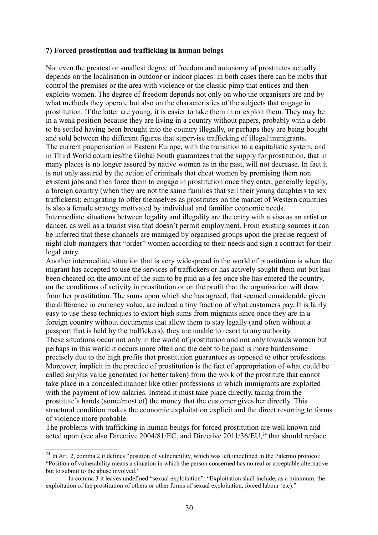#### **7) Forced prostitution and trafficking in human beings**

Not even the greatest or smallest degree of freedom and autonomy of prostitutes actually depends on the localisation in outdoor or indoor places: in both cases there can be mobs that control the premises or the area with violence or the classic pimp that entices and then exploits women. The degree of freedom depends not only on who the organisers are and by what methods they operate but also on the characteristics of the subjects that engage in prostitution. If the latter are young, it is easier to take them in or exploit them. They may be in a weak position because they are living in a country without papers, probably with a debt to be settled having been brought into the country illegally, or perhaps they are being bought and sold between the different figures that supervise trafficking of illegal immigrants. The current pauperisation in Eastern Europe, with the transition to a capitalistic system, and in Third World countries/the Global South guarantees that the supply for prostitution, that in many places is no longer assured by native women as in the past, will not decrease. In fact it is not only assured by the action of criminals that cheat women by promising them non existent jobs and then force them to engage in prostitution once they enter, generally legally, a foreign country (when they are not the same families that sell their young daughters to sex traffickers): emigrating to offer themselves as prostitutes on the market of Western countries is also a female strategy motivated by individual and familiar economic needs.

Intermediate situations between legality and illegality are the entry with a visa as an artist or dancer, as well as a tourist visa that doesn't permit employment. From existing sources it can be inferred that these channels are managed by organised groups upon the precise request of night club managers that "order" women according to their needs and sign a contract for their legal entry.

Another intermediate situation that is very widespread in the world of prostitution is when the migrant has accepted to use the services of traffickers or has actively sought them out but has been cheated on the amount of the sum to be paid as a fee once she has entered the country, on the conditions of activity in prostitution or on the profit that the organisation will draw from her prostitution. The sums upon which she has agreed, that seemed considerable given the difference in currency value, are indeed a tiny fraction of what customers pay. It is fairly easy to use these techniques to extort high sums from migrants since once they are in a foreign country without documents that allow them to stay legally (and often without a passport that is held by the traffickers), they are unable to resort to any authority. These situations occur not only in the world of prostitution and not only towards women but perhaps in this world it occurs more often and the debt to be paid is more burdensome precisely due to the high profits that prostitution guarantees as opposed to other professions. Moreover, implicit in the practice of prostitution is the fact of appropriation of what could be called surplus value generated (or better taken) from the work of the prostitute that cannot take place in a concealed manner like other professions in which immigrants are exploited with the payment of low salaries. Instead it must take place directly, taking from the prostitute's hands (some/most of) the money that the customer gives her directly. This structural condition makes the economic exploitation explicit and the direct resorting to forms of violence more probable.

The problems with trafficking in human beings for forced prostitution are well known and acted upon (see also Directive 2004/81/EC, and Directive  $2011/36/EU<sub>1</sub><sup>24</sup>$  $2011/36/EU<sub>1</sub><sup>24</sup>$  $2011/36/EU<sub>1</sub><sup>24</sup>$  that should replace

<span id="page-29-0"></span><sup>&</sup>lt;sup>24</sup> In Art. 2, comma 2 it defines "position of vulnerability, which was left undefined in the Palermo protocol: "Position of vulnerability means a situation in which the person concerned has no real or acceptable alternative but to submit to the abuse involved."

In comma 3 it leaves undefined "sexual exploitation": "Exploitation shall include, as a minimum, the exploitation of the prostitution of others or other forms of sexual exploitation, forced labour (etc)."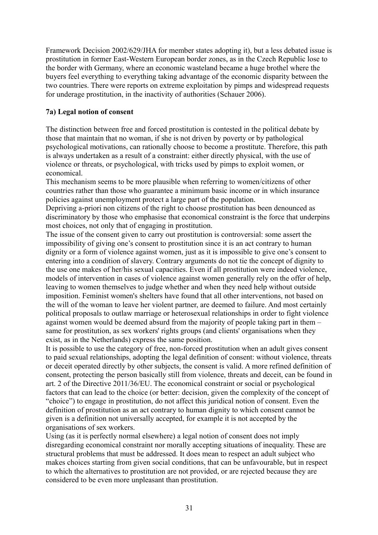Framework Decision 2002/629/JHA for member states adopting it), but a less debated issue is prostitution in former East-Western European border zones, as in the Czech Republic lose to the border with Germany, where an economic wasteland became a huge brothel where the buyers feel everything to everything taking advantage of the economic disparity between the two countries. There were reports on extreme exploitation by pimps and widespread requests for underage prostitution, in the inactivity of authorities (Schauer 2006).

#### **7a) Legal notion of consent**

The distinction between free and forced prostitution is contested in the political debate by those that maintain that no woman, if she is not driven by poverty or by pathological psychological motivations, can rationally choose to become a prostitute. Therefore, this path is always undertaken as a result of a constraint: either directly physical, with the use of violence or threats, or psychological, with tricks used by pimps to exploit women, or economical.

This mechanism seems to be more plausible when referring to women/citizens of other countries rather than those who guarantee a minimum basic income or in which insurance policies against unemployment protect a large part of the population.

Depriving a-priori non citizens of the right to choose prostitution has been denounced as discriminatory by those who emphasise that economical constraint is the force that underpins most choices, not only that of engaging in prostitution.

The issue of the consent given to carry out prostitution is controversial: some assert the impossibility of giving one's consent to prostitution since it is an act contrary to human dignity or a form of violence against women, just as it is impossible to give one's consent to entering into a condition of slavery. Contrary arguments do not tie the concept of dignity to the use one makes of her/his sexual capacities. Even if all prostitution were indeed violence, models of intervention in cases of violence against women generally rely on the offer of help, leaving to women themselves to judge whether and when they need help without outside imposition. Feminist women's shelters have found that all other interventions, not based on the will of the woman to leave her violent partner, are deemed to failure. And most certainly political proposals to outlaw marriage or heterosexual relationships in order to fight violence against women would be deemed absurd from the majority of people taking part in them – same for prostitution, as sex workers' rights groups (and clients' organisations when they exist, as in the Netherlands) express the same position.

It is possible to use the category of free, non-forced prostitution when an adult gives consent to paid sexual relationships, adopting the legal definition of consent: without violence, threats or deceit operated directly by other subjects, the consent is valid. A more refined definition of consent, protecting the person basically still from violence, threats and deceit, can be found in art. 2 of the Directive 2011/36/EU. The economical constraint or social or psychological factors that can lead to the choice (or better: decision, given the complexity of the concept of "choice") to engage in prostitution, do not affect this juridical notion of consent. Even the definition of prostitution as an act contrary to human dignity to which consent cannot be given is a definition not universally accepted, for example it is not accepted by the organisations of sex workers.

Using (as it is perfectly normal elsewhere) a legal notion of consent does not imply disregarding economical constraint nor morally accepting situations of inequality. These are structural problems that must be addressed. It does mean to respect an adult subject who makes choices starting from given social conditions, that can be unfavourable, but in respect to which the alternatives to prostitution are not provided, or are rejected because they are considered to be even more unpleasant than prostitution.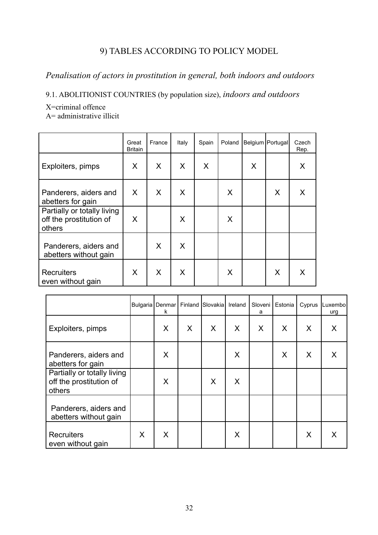## 9) TABLES ACCORDING TO POLICY MODEL

## *Penalisation of actors in prostitution in general, both indoors and outdoors*

9.1. ABOLITIONIST COUNTRIES (by population size), *indoors and outdoors*

X=criminal offence

A= administrative illicit

|                                                                  | Great<br><b>Britain</b> | France | Italy | Spain | Poland |   | Belgium   Portugal | Czech<br>Rep. |
|------------------------------------------------------------------|-------------------------|--------|-------|-------|--------|---|--------------------|---------------|
| Exploiters, pimps                                                | X                       | X      | X     | X     |        | X |                    | X             |
| Panderers, aiders and<br>abetters for gain                       | X                       | X      | X     |       | X      |   | X                  | X             |
| Partially or totally living<br>off the prostitution of<br>others | X                       |        | X     |       | X      |   |                    |               |
| Panderers, aiders and<br>abetters without gain                   |                         | X      | X     |       |        |   |                    |               |
| <b>Recruiters</b><br>even without gain                           | X                       | X      | X     |       | X      |   | X                  | X             |

|                                                                  |   | Bulgaria   Denmar  <br>k | Finland | Slovakia | Ireland | Sloveni<br>a | Estonia | Cyprus | Luxembo<br>urg |
|------------------------------------------------------------------|---|--------------------------|---------|----------|---------|--------------|---------|--------|----------------|
| Exploiters, pimps                                                |   | X                        | X       | X        | X       | $\sf X$      | $\sf X$ | X      | X              |
| Panderers, aiders and<br>abetters for gain                       |   | X                        |         |          | X       |              | X       | X      | X              |
| Partially or totally living<br>off the prostitution of<br>others |   | X                        |         | X        | X       |              |         |        |                |
| Panderers, aiders and<br>abetters without gain                   |   |                          |         |          |         |              |         |        |                |
| <b>Recruiters</b><br>even without gain                           | X | X                        |         |          | X       |              |         | X      |                |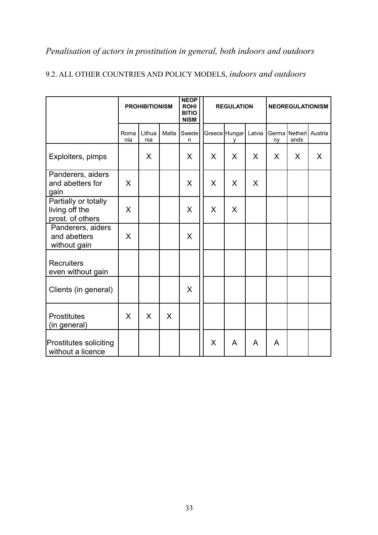# *Penalisation of actors in prostitution in general, both indoors and outdoors*

|                                                            | <b>PROHIBITIONISM</b> |               |       | <b>NEOP</b><br><b>ROHI</b><br><b>BITIO</b><br><b>NISM</b> |   | <b>REGULATION</b>  |        |    | <b>NEOREGULATIONISM</b>       |   |
|------------------------------------------------------------|-----------------------|---------------|-------|-----------------------------------------------------------|---|--------------------|--------|----|-------------------------------|---|
|                                                            | Roma<br>nia           | Lithua<br>nia | Malta | Swede<br>n                                                |   | Greece Hungar<br>۷ | Latvia | ny | Germa Netherl Austria<br>ands |   |
| Exploiters, pimps                                          |                       | X             |       | X                                                         | X | X                  | X      | X  | X                             | X |
| Panderers, aiders<br>and abetters for<br>gain              | X                     |               |       | X                                                         | X | X                  | X      |    |                               |   |
| Partially or totally<br>living off the<br>prost. of others | X                     |               |       | X                                                         | X | X                  |        |    |                               |   |
| Panderers, aiders<br>and abetters<br>without gain          | X                     |               |       | X                                                         |   |                    |        |    |                               |   |
| <b>Recruiters</b><br>even without gain                     |                       |               |       |                                                           |   |                    |        |    |                               |   |
| Clients (in general)                                       |                       |               |       | X                                                         |   |                    |        |    |                               |   |
| <b>Prostitutes</b><br>(in general)                         | X                     | X             | X     |                                                           |   |                    |        |    |                               |   |
| <b>Prostitutes soliciting</b><br>without a licence         |                       |               |       |                                                           | X | A                  | A      | A  |                               |   |

## 9.2. ALL OTHER COUNTRIES AND POLICY MODELS, *indoors and outdoors*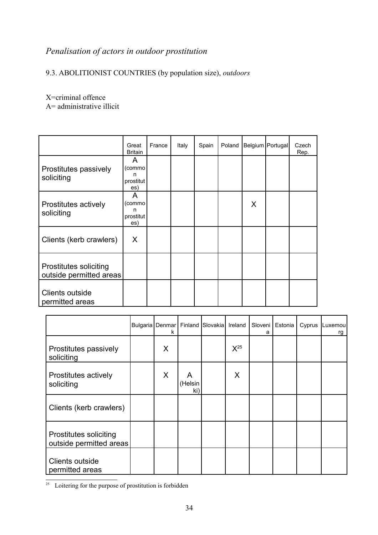## *Penalisation of actors in outdoor prostitution*

## 9.3. ABOLITIONIST COUNTRIES (by population size), *outdoors*

X=criminal offence

A= administrative illicit

|                                                   | Great<br><b>Britain</b>              | France | Italy | Spain | Poland |         | Belgium   Portugal | Czech<br>Rep. |
|---------------------------------------------------|--------------------------------------|--------|-------|-------|--------|---------|--------------------|---------------|
| Prostitutes passively<br>soliciting               | A<br>(commo<br>n<br>prostitut<br>es) |        |       |       |        |         |                    |               |
| Prostitutes actively<br>soliciting                | A<br>(commo<br>n<br>prostitut<br>es) |        |       |       |        | $\sf X$ |                    |               |
| Clients (kerb crawlers)                           | X                                    |        |       |       |        |         |                    |               |
| Prostitutes soliciting<br>outside permitted areas |                                      |        |       |       |        |         |                    |               |
| Clients outside<br>permitted areas                |                                      |        |       |       |        |         |                    |               |

|                                                          | Bulgaria   Denmar  <br>ĸ |                     | Finland Slovakia | Ireland  | Sloveni<br>а | Estonia | Cyprus | Luxemou<br>rg |
|----------------------------------------------------------|--------------------------|---------------------|------------------|----------|--------------|---------|--------|---------------|
| Prostitutes passively<br>soliciting                      | X                        |                     |                  | $X^{25}$ |              |         |        |               |
| Prostitutes actively<br>soliciting                       | X                        | A<br>(Helsin<br>ki) |                  | X        |              |         |        |               |
| Clients (kerb crawlers)                                  |                          |                     |                  |          |              |         |        |               |
| <b>Prostitutes soliciting</b><br>outside permitted areas |                          |                     |                  |          |              |         |        |               |
| Clients outside<br>permitted areas                       |                          |                     |                  |          |              |         |        |               |

<span id="page-33-0"></span> $\frac{25}{25}$  Loitering for the purpose of prostitution is forbidden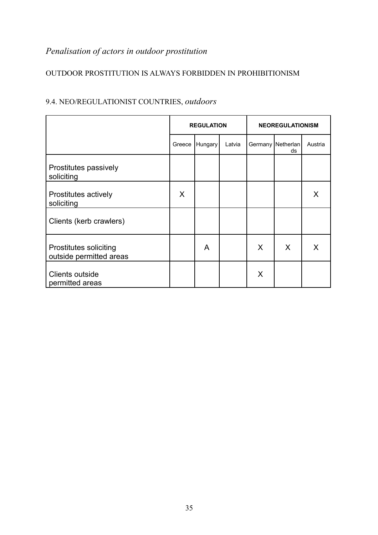# *Penalisation of actors in outdoor prostitution*

### OUTDOOR PROSTITUTION IS ALWAYS FORBIDDEN IN PROHIBITIONISM

|                                                          |        | <b>REGULATION</b> |        | <b>NEOREGULATIONISM</b> |                           |         |  |  |
|----------------------------------------------------------|--------|-------------------|--------|-------------------------|---------------------------|---------|--|--|
|                                                          | Greece | Hungary           | Latvia |                         | Germany   Netherlan<br>ds | Austria |  |  |
| Prostitutes passively<br>soliciting                      |        |                   |        |                         |                           |         |  |  |
| Prostitutes actively<br>soliciting                       | X      |                   |        |                         |                           | X       |  |  |
| Clients (kerb crawlers)                                  |        |                   |        |                         |                           |         |  |  |
| <b>Prostitutes soliciting</b><br>outside permitted areas |        | A                 |        | X                       | X                         | X       |  |  |
| Clients outside<br>permitted areas                       |        |                   |        | X                       |                           |         |  |  |

## 9.4. NEO/REGULATIONIST COUNTRIES, *outdoors*